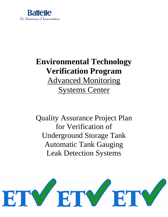

# **Environmental Technology Verification Program** Advanced Monitoring Systems Center

Quality Assurance Project Plan for Verification of Underground Storage Tank Automatic Tank Gauging Leak Detection Systems

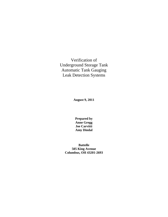Verification of Underground Storage Tank Automatic Tank Gauging Leak Detection Systems

**August 9, 2011**

**Prepared by Anne Gregg Joe Carvitti Amy Dindal**

**Battelle 505 King Avenue Columbus, OH 43201-2693**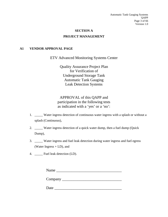Automatic Tank Gauging Systems QAPP Page 3 of 66 Version 1.0

## **SECTION A PROJECT MANAGEMENT**

#### <span id="page-2-1"></span><span id="page-2-0"></span>**A1 VENDOR APPROVAL PAGE**

ETV Advanced Monitoring Systems Center

Quality Assurance Project Plan for Verification of Underground Storage Tank Automatic Tank Gauging Leak Detection Systems

APPROVAL of this QAPP and participation in the following tests as indicated with a 'yes' or a 'no':

- 1. \_\_\_\_\_ Water ingress detection of continuous water ingress with a splash or without a splash (Continuous),
- 2. \_\_\_\_\_ Water ingress detection of a quick water dump, then a fuel dump (Quick Dump),
- 3. \_\_\_\_\_ Water ingress and fuel leak detection during water ingress and fuel egress (Water Ingress + LD), and
- 4. Fuel leak detection (LD).

| Name    |  |  |  |
|---------|--|--|--|
| Company |  |  |  |
| Date    |  |  |  |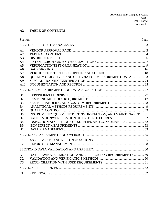## <span id="page-3-0"></span>**A2 TABLE OF CONTENTS**

| Section        |                                                               | Page |
|----------------|---------------------------------------------------------------|------|
|                |                                                               |      |
| A <sub>1</sub> |                                                               |      |
| A2             |                                                               |      |
| A <sub>3</sub> |                                                               |      |
| A <sub>4</sub> |                                                               |      |
| A <sub>5</sub> |                                                               |      |
| A <sub>6</sub> |                                                               |      |
| A7             |                                                               |      |
| A8             | QUALITY OBJECTIVES AND CRITERIA FOR MEASUREMENT DATA 23       |      |
| A <sup>9</sup> |                                                               |      |
| A10            |                                                               |      |
|                |                                                               |      |
| B1             |                                                               |      |
| B <sub>2</sub> |                                                               |      |
| B <sub>3</sub> |                                                               |      |
| <b>B4</b>      |                                                               |      |
| B <sub>5</sub> |                                                               |      |
| <b>B6</b>      | INSTRUMENT/EQUIPMENT TESTING, INSPECTION, AND MAINTENANCE  51 |      |
| B7             |                                                               |      |
| <b>B8</b>      |                                                               |      |
| <b>B9</b>      |                                                               |      |
| <b>B10</b>     |                                                               |      |
|                |                                                               |      |
| C1             |                                                               |      |
| C2             |                                                               |      |
|                |                                                               |      |
| D <sub>1</sub> | DATA REVIEW, VALIDATION, AND VERIFICATION REQUIREMENTS  60    |      |
| D2             |                                                               |      |
| D <sub>3</sub> |                                                               |      |
|                |                                                               |      |
| E1             |                                                               |      |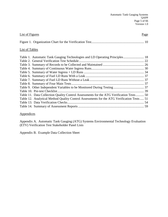| <b>List of Figures</b>                                                                     | Page |
|--------------------------------------------------------------------------------------------|------|
|                                                                                            |      |
| <b>List of Tables</b>                                                                      |      |
| Table 1. Automatic Tank Gauging Technologies and LD Operating Principles 18                |      |
|                                                                                            |      |
|                                                                                            |      |
|                                                                                            |      |
|                                                                                            |      |
|                                                                                            |      |
|                                                                                            |      |
|                                                                                            |      |
|                                                                                            |      |
|                                                                                            |      |
| Table 11. Data Collection Quality Control Assessments for the ATG Verification Tests 50    |      |
| Table 12. Analytical Method Quality Control Assessments for the ATG Verification Tests  51 |      |
|                                                                                            |      |
|                                                                                            |      |
|                                                                                            |      |

#### **Appendices**

Appendix A. Automatic Tank Gauging (ATG) Systems Environmental Technology Evaluation (ETV) Verification Test Stakeholder Panel Lists

Appendix B. Example Data Collection Sheet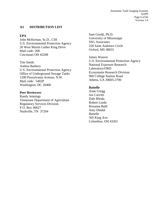Automatic Tank Gauging Systems QAPP Page 6 of 66 Version 1.0

#### <span id="page-5-0"></span>**A3 DISTRIBUTION LIST**

#### **EPA**

John McKernan, Sc.D., CIH U.S. Environmental Protection Agency 26 West Martin Luther King Drive Mail code: 208 Cincinnati OH 45268

Tim Smith Andrea Barbery U.S. Environmental Protection Agency Office of Underground Storage Tanks 1200 Pensylvania Avenue, N.W. Mail code: 5402P Washington, DC 20460

#### **Peer Reviewers**

Randy Jennings Tennessee Department of Agriculture Regulatory Services Division P.O. Box 40627 Nashville, TN 37204

Sam Gordji, Ph.D. University of Mississippi SSG Associates 220 Saint Andrews Circle Oxford, MS 38655

James Weaver U.S. Environmental Protection Agency National Exposure Research Laboratory/ORD Ecosystems Research Division 960 College Station Road Athens, GA 30605-2700

#### **Battelle**

Anne Gregg Joe Carvitti Dale Rhoda Robert Lordo Rosanna Buhl Amy Dindal Battelle 505 King Ave. Columbus, OH 43201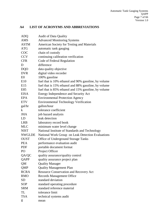## <span id="page-6-0"></span>**A4 LIST OF ACRONYMS AND ABBREVIATIONS**

| <b>ADQ</b>         | <b>Audit of Data Quality</b>                         |
|--------------------|------------------------------------------------------|
| <b>AMS</b>         | <b>Advanced Monitoring Systems</b>                   |
| <b>ASTM</b>        | American Society for Testing and Materials           |
| <b>ATG</b>         | automatic tank gauging                               |
| COC                | chain of custody                                     |
| <b>CCV</b>         | continuing calibration verification                  |
| <b>CFR</b>         | Code of Federal Regulation                           |
| D                  | difference                                           |
| <b>DQO</b>         | data quality objective                               |
| <b>DVR</b>         | digital video recorder                               |
| E <sub>0</sub>     | 100% gasoline                                        |
| E10                | fuel that is 10% ethanol and 90% gasoline, by volume |
| E15                | fuel that is 15% ethanol and 88% gasoline, by volume |
| E85                | fuel that is 85% ethanol and 15% gasoline, by volume |
| <b>EISA</b>        | Energy Independence and Security Act                 |
| EPA                | <b>Environmental Protection Agency</b>               |
| <b>ETV</b>         | <b>Environmental Technology Verification</b>         |
| gal/hr             | gallon/hour                                          |
| k                  | tolerance coefficient                                |
| <b>JHA</b>         | job hazard analysis                                  |
| LD                 | leak detection                                       |
| <b>LRB</b>         | laboratory record book                               |
| <b>MLC</b>         | minimum water level change                           |
| <b>NIST</b>        | National Institute of Standards and Technology       |
| <b>NWGLDE</b>      | National Work Group on Leak Detection Evaluations    |
| <b>OUST</b>        | <b>Office of Underground Storage Tanks</b>           |
| <b>PEA</b>         | performance evaluation audit                         |
| <b>PDF</b>         | portable document format                             |
| PO                 | Project Officer                                      |
| QA/QC              | quality assurance/quality control                    |
| QAPP               | quality assurance project plan                       |
| QM                 | <b>Quality Manager</b>                               |
| <b>QMP</b>         | <b>Quality Management Plan</b>                       |
| <b>RCRA</b>        | <b>Resource Conservation and Recovery Act</b>        |
| <b>RMO</b>         | <b>Records Management Office</b>                     |
| <b>SD</b>          | standard deviation                                   |
| <b>SOP</b>         | standard operating procedure                         |
| <b>SRM</b>         | standard reference material                          |
| TL                 | tolerance limit                                      |
| <b>TSA</b>         | technical systems audit                              |
| $\bar{\mathbf{x}}$ | mean                                                 |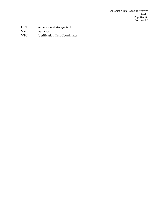Automatic Tank Gauging Systems QAPP Page 8 of 66 Version 1.0

Var variance<br>VTC Verificat

<span id="page-7-0"></span>Verification Test Coordinator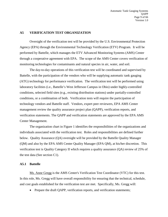#### **A5 VERIFICATION TEST ORGANIZATION**

Oversight of the verification test will be provided by the U.S. Environmental Protection Agency (EPA) through the Environmental Technology Verification (ETV) Program. It will be performed by Battelle, which manages the ETV Advanced Monitoring Systems (AMS) Center through a cooperative agreement with EPA. The scope of the AMS Center covers verification of monitoring technologies for contaminants and natural species in air, water, and soil.

The day-to-day operations of this verification test will be coordinated and supervised by Battelle, with the participation of the vendors who will be supplying automatic tank gauging (ATG) technology for performance verification. The verification test will be performed using laboratory facilities (i.e., Battelle's West Jefferson Campus in Ohio) under highly-controlled conditions, selected field sites (e.g., existing distribution stations) under partially-controlled conditions, or a combination of both. Verification tests will require the participation of technology vendors and Battelle staff. Vendors, expert peer reviewers, EPA AMS Center management review the quality assurance project plan (QAPP), verification reports, and verification statements. The QAPP and verification statements are approved by the EPA AMS Center Management.

The organization chart in Figure 1 identifies the responsibilities of the organizations and individuals associated with the verification test. Roles and responsibilities are defined further below. Quality Assurance (QA) oversight will be provided by the Battelle Quality Manager (QM) and also by the EPA AMS Center Quality Manager (EPA QM), at his/her discretion. This verification test is Quality Category II which requires a quality assurance (QA) review of 25% of the test data (See section C1).

#### **A5.1 Battelle**

Ms. Anne Gregg is the AMS Center's Verification Test Coordinator (VTC) for this test. In this role, Ms. Gregg will have overall responsibility for ensuring that the technical, schedule, and cost goals established for the verification test are met. Specifically, Ms. Gregg will:

• Prepare the draft OAPP, verification reports, and verification statements;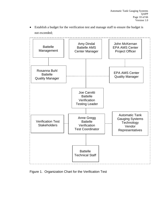• Establish a budget for the verification test and manage staff to ensure the budget is not exceeded;



<span id="page-9-0"></span>Figure 1. Organization Chart for the Verification Test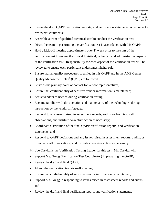- Revise the draft QAPP, verification reports, and verification statements in response to reviewers' comments;
- Assemble a team of qualified technical staff to conduct the verification test;
- Direct the team in performing the verification test in accordance with this QAPP;
- Hold a kick-off meeting approximately one (1) week prior to the start of the verification test to review the critical logistical, technical, and administrative aspects of the verification test. Responsibility for each aspect of the verification test will be reviewed to ensure each participant understands his/her role;
- Ensure that all quality procedures specified in this QAPP and in the AMS Center Quality Management  $Plan<sup>1</sup>$  (QMP) are followed;
- Serve as the primary point of contact for vendor representatives;
- Ensure that confidentiality of sensitive vendor information is maintained;
- Assist vendors as needed during verification testing;
- Become familiar with the operation and maintenance of the technologies through instruction by the vendors, if needed;
- Respond to any issues raised in assessment reports, audits, or from test staff observations, and institute corrective action as necessary;
- Coordinate distribution of the final QAPP, verification reports, and verification statements; and
- Respond to QAPP deviations and any issues raised in assessment reports, audits, or from test staff observations, and institute corrective action as necessary.

Mr. Joe Carvitti is the Verification Testing Leader for this test. Mr. Carvitti will:

- Support Ms. Gregg (Verification Test Coordinator) in preparing the QAPP;
- Review the draft and final QAPP;
- Attend the verification test kick-off meeting;
- Ensure that confidentiality of sensitive vendor information is maintained;
- Support Ms. Gregg in responding to issues raised in assessment reports and audits; and
- Review the draft and final verification reports and verification statements.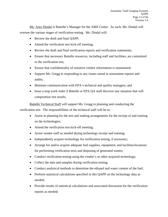Ms. Amy Dindal is Battelle's Manager for the AMS Center. As such, Ms. Dindal will oversee the various stages of verification testing. Ms. Dindal will:

- Review the draft and final QAPP;
- Attend the verification test kick-off meeting:
- Review the draft and final verification reports and verification statements;
- Ensure that necessary Battelle resources, including staff and facilities, are committed to the verification test;
- Ensure that confidentiality of sensitive vendor information is maintained;
- Support Ms. Gregg in responding to any issues raised in assessment reports and audits;
- Maintain communication with EPA's technical and quality managers; and
- Issue a stop work order if Battelle or EPA QA staff discover any situation that will compromise test results.

Battelle Technical Staff will support Ms. Gregg in planning and conducting the verification test. The responsibilities of the technical staff will be to:

- Assist in planning for the test and making arrangements for the receipt of and training on the technologies;
- Attend the verification test kick-off meeting;
- Assist vendor staff as needed during technology receipt and training;
- Independently acquire technology for verification testing, if necessary;
- Arrange for and/or acquire adequate fuel supplies, equipment, and facilities/locations for performing verification tests and disposing of generated wastes;
- Conduct verification testing using the vendor's or other acquired technology;
- Collect the data and samples during verification testing;
- Conduct analytical methods to determine the ethanol and water content of the fuel;
- Perform statistical calculations specified in this QAPP on the technology data as needed;
- Provide results of statistical calculations and associated discussion for the verification reports as needed;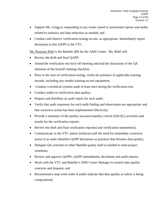- Support Ms. Gregg in responding to any issues raised in assessment reports and audits related to statistics and data reduction as needed; and
- Conduct and observe verification testing on-site, as appropriate. Immediately report deviations to this QAPP to the VTC.

Ms. Rosanna Buhl is the Battelle QM for the AMS Center. Ms. Buhl will:

- Review the draft and final QAPP;
- Attend the verification test kick-off meeting and lead the discussion of the OA elements of the kickoff meeting checklist;
- Prior to the start of verification testing, verify the presence of applicable training records, including any vendor training on test equipment;
- Conduct a technical systems audit at least once during the verification test.
- Conduct audits to verification data quality;
- Prepare and distribute an audit report for each audit;
- Verify that audit responses for each audit finding and observation are appropriate and that corrective action has been implemented effectively;
- Provide a summary of the quality assurance/quality control (QA/QC) activities and results for the verification reports;
- Review the draft and final verification report(s) and verification statement(s);
- Communicate to the VTC and/or technical staff the need for immediate corrective action if an audit identifies QAPP deviations or practices that threaten data quality;
- Delegate QA activities to other Battelle quality staff as needed to meet project schedules;
- Review and approve QAPPs, QAPP amendments, deviations and audit reports;
- Work with the VTC and Battelle's AMS Center Manager to resolve data quality concerns and disputes; and
- Recommend a stop work order if audits indicate that data quality or safety is being compromised.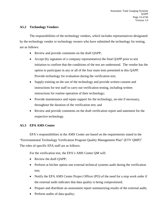#### **A5.2 Technology Vendors**

The responsibilities of the technology vendors, which includes representatives designated by the technology vendor or technology owners who have submitted the technology for testing, are as follows:

- Review and provide comments on the draft QAPP;
- Accept (by signature of a company representative) the final OAPP prior to test initiation to confirm that the conditions of the test are understood. The vendor has the option to participate in any or all of the four main tests presented in this QAPP. Provide technology for evaluation during the verification test;
- Supply training on the use of the technology and provide written consent and instructions for test staff to carry out verification testing, including written instructions for routine operation of their technology;
- Provide maintenance and repair support for the technology, on-site if necessary, throughout the duration of the verification test; and
- Review and provide comments on the draft verification report and statement for the respective technology.

## **A5.3 EPA AMS Center**

EPA's responsibilities in the AMS Center are based on the requirements stated in the "Environmental Technology Verification Program Quality Management Plan" (ETV QMP)<sup>2</sup>. The roles of specific EPA staff are as follows:

For the verification test, the EPA's AMS Center QM will:

- Review the draft QAPP;
- Perform at his/her option one external technical systems audit during the verification test;
- Notify the EPA AMS Center Project Officer (PO) of the need for a stop work order if the external audit indicates that data quality is being compromised;
- Prepare and distribute an assessment report summarizing results of the external audit;
- Perform audits of data quality;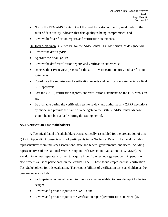- Notify the EPA AMS Center PO of the need for a stop or modify work order if the audit of data quality indicates that data quality is being compromised; and
- Review draft verification reports and verification statements.

Dr. John McKernan is EPA's PO for the AMS Center. Dr. McKernan, or designee will:

- Review the draft QAPP;
- Approve the final QAPP;
- Review the draft verification reports and verification statements;
- Oversee the EPA review process for the QAPP, verification reports, and verification statements;
- Coordinate the submission of verification reports and verification statements for final EPA approval;
- Post the QAPP, verification reports, and verification statements on the ETV web site; and
- Be available during the verification test to review and authorize any OAPP deviations by phone and provide the name of a delegate to the Battelle AMS Center Manager should he not be available during the testing period.

#### **A5.4 Verification Test Stakeholders**

A Technical Panel of stakeholders was specifically assembled for the preparation of this QAPP. Appendix A presents a list of participants in the Technical Panel. The panel includes representatives from industry associations, state and federal governments, and users, including representatives of the National Work Group on Leak Detection Evaluations (NWGLDE). A Vendor Panel was separately formed to acquire input from technology vendors. Appendix A also presents a list of participants in the Vendor Panel. These groups represent the Verification Test Stakeholders for this evaluation. The responsibilities of verification test stakeholders and/or peer reviewers include:

- Participate in technical panel discussions (when available) to provide input to the test design;
- Review and provide input to the QAPP; and
- Review and provide input to the verification report(s)/verification statement(s).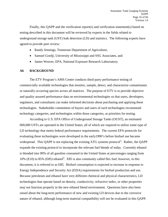Finally, this QAPP and the verification report(s) and verification statement(s) based on testing described in this document will be reviewed by experts in the fields related to underground storage tank (UST) leak detection (LD) and statistics. The following experts have agreed to provide peer review:

- Randy Jennings, Tennessee Department of Agriculture,
- Samuel Gordji, University of Mississippi and SSG Associates, and
- James Weaver, EPA, National Exposure Research Laboroatory.

#### <span id="page-15-0"></span>**A6 BACKGROUND**

The ETV Program's AMS Center conducts third-party performance testing of commercially available technologies that monitor, sample, detect, and characterize contaminants or naturally occurring species across all matrices. The purpose of ETV is to provide objective and quality assured performance data on environmental technologies so that users, developers, regulators, and consultants can make informed decisions about purchasing and applying these technologies. Stakeholder committees of buyers and users of such technologies recommend technology categories, and technologies within those categories, as priorities for testing.

According to U.S. EPA Office of Underground Storage Tanks (OUST), an estimated 600,000 USTs are operated in the United States, all of which are required to utilize some type of LD technology that meets federal performance requirements. The current EPA protocols for evaluating these technologies were developed in the early1990's before biofuel use became widespread. This QAPP is not replacing the existing ATG systems protocol<sup>3</sup>. Rather, the QAPP expands the existing protocol to incorporate the relevant fuel blends of today. Currently ethanol is blended into 90% of all gasoline consumed in the United States at percentages ranging from 10% (E10) to 85% (E85) ethanol<sup>4</sup>. E85 is also commonly called flex fuel; however, in this document, it is referred to as E85. Biofuel consumption is expected to increase in response to Energy Independence and Security Act (EISA) requirements for biofuel production and use. Because petroleum and ethanol have very different chemical and physical characteristics, LD technologies that operate based on density, conductivity, refractive index, or other properties may not function properly in the new ethanol blend environment. Questions have also been raised about the long-term performance of new and existing LD devices due to the corrosive nature of ethanol, although long-term material compatibility will not be evaluated in this QAPP.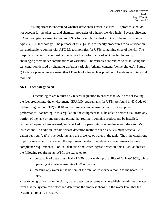It is important to understand whether deficiencies exist in current LD protocols that do not account for the physical and chemical properties of ethanol-blended fuels. Several different LD technologies are used to monitor USTs for possible fuel leaks. One of the most common types is ATG technology. The purpose of this QAPP is to specify procedures for a verification test applicable to commercial ATG LD technologies for USTs containing ethanol blends. The purpose of the verification test is to evaluate the performance of ATG technologies by challenging them under combinations of variables. The variables are related to establishing the test condition desired by changing different variables (ethanol content, fuel height, etc). Future QAPPs are planned to evaluate other LD technologies such as pipeline LD systems or interstitial monitors.

#### **A6.1 Technology Need**

LD technologies are required by federal regulation to ensure that USTs are not leaking the fuel product into the environment. EPA LD requirements for USTs are found in 40 Code of Federal Regulation (CFR) 280.40 and require written determination of LD equipment performance. According to this regulation, the equipment must be able to detect a leak from any portion of the tank or underground piping that routinely contains product and be installed, calibrated, operated, maintained, and checked for operability in accordance with the vendor's instructions. In addition, certain release detection methods such as ATGs must detect a 0.20 gallon per hour (gal/hr) fuel leak rate and the presence of water in the tank. Thus, the conditions of performance certification and the equipment vendor's maintenance requirements become compliance requirements. For leak detection and water ingress detection, this QAPP addresses the following requirements. ATGs are expected to:

- be capable of detecting a leak of 0.20 gal/hr with a probability of (at least)  $95\%$ , while operating at a false alarm rate of 5% or less; and
- measure any water in the bottom of the tank at least once a month to the nearest  $1/8$ inch.

Prior to being offered commercially, water detection systems must establish the minimum water level that the system can detect and determine the smallest change in the water level that the system can reliably measure.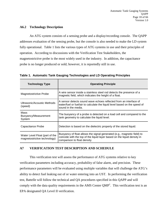#### **A6.2 Technology Description**

An ATG system consists of a sensing probe and a display/recording console. The QAPP addresses evaluation of the sensing probe, but the console is also needed to make the LD system fully operational. Table 1 lists the various types of ATG systems in use and their principles of operation. According to discussions with the Verification Test Stakeholders, the magnetostrictive probe is the most widely used in the industry. In addition, the capacitance probe is no longer produced or sold; however, it is reportedly still in use.

<span id="page-17-1"></span>**Table 1. Automatic Tank Gauging Technologies and LD Operating Principles**

| <b>Technology Type</b>                                         | <b>Operating Principle</b>                                                                                                                                                          |
|----------------------------------------------------------------|-------------------------------------------------------------------------------------------------------------------------------------------------------------------------------------|
| <b>Magnetostrictive Probe</b>                                  | A wire sensor inside a stainless steel rod detects the presence of a<br>magnetic field, which indicates the height of a float.                                                      |
| Ultrasonic/Acoustic Methods<br>(speed)                         | A sensor detects sound wave echoes reflected from an interface of<br>water/fuel or fuel/air to calculate the liquid level based on the speed of<br>sound in the media.              |
| Mass<br>Buoyancy/Measurement<br>System                         | The buoyancy of a probe is detected on a load cell and compared to the<br>tank geometry to calculate the liquid level.                                                              |
| Capacitance Probe                                              | Detection is based on the dielectric property of the stored liquid.                                                                                                                 |
| Water Level Float (part of the<br>magnetostrictive technology) | Buoyancy of float allows the signal generated (e.g., magnetic field) to<br>coincide with the top of the liquid layer based on the liquid density in<br>comparison to float density. |

#### <span id="page-17-0"></span>**A7 VERIFICATION TEST DESCRIPTION AND SCHEDULE**

This verification test will assess the performance of ATG systems relative to key verification parameters including accuracy, probability of false alarm, and precision. These performance parameters will be evaluated using multiple variables that will challenge the ATG's ability to detect fuel leaking out of or water entering into an UST. In performing the verification test, Battelle will follow the technical and QA procedures specified in this QAPP and will comply with the data quality requirements in the AMS Center  $QMP<sup>1</sup>$ . This verification test is an EPA designated QA Level II verification.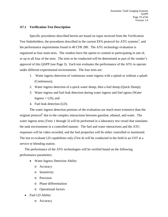#### **A7.1 Verification Test Description**

Specific procedures described herein are based on input received from the Verification Test Stakeholders, the procedures described in the current EPA protocol for ATG systems<sup>3</sup>, and the performance requirements found in 40 CFR 280. The ATG technology evaluation is organized as four main tests. The vendors have the option to commit to participating in one of, or up to all four of the tests. The tests to be conducted will be determined as part of the vendor's approval of this QAPP (see Page 3). Each test evaluates the performance of the ATG to operate under different experimental environments. The four tests are:

- 1. Water ingress detection of continuous water ingress with a splash or without a splash (Continuous);
- 2. Water ingress detection of a quick water dump, then a fuel dump (Quick Dump);
- 3. Water ingress and fuel leak detection during water ingress and fuel egress (Water Ingress  $+$  LD); and
- 4. Fuel leak detection (LD).

The water ingress detection portions of the evaluation are much more extensive than the original protocol<sup>3</sup> due to the complex interactions between gasoline, ethanol, and water. The water ingress tests (Tests 1 through 3) will be performed in a laboratory test vessel that simulates the tank environment in a controlled manner. The fuel and water interactions and the ATG responses will be video recorded, and the fuel properties will be either controlled or monitored. The test to evaluate LD capabilities only (Test 4) will be conducted in the field in an UST at a service or blending station.

The performance of the ATG technologies will be verified based on the following performance parameters.

- Water Ingress Detection Ability
	- o Accuracy
	- o Sensitivity
	- o Precision
	- o Phase differentiation
	- o Operational factors
- Fuel LD Ability
	- o Accuracy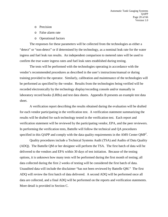- o Precision
- o False alarm rate
- o Operational factors

The responses for these parameters will be collected from the technologies as either a "detect" or "non-detect" or if determined by the technology, as a nominal leak rate for the water ingress and fuel leak run results. An independent comparison to metered rates will be used to confirm the true water ingress rates and fuel leak rates established during testing.

The tests will be performed with the technologies operating in accordance with the vendor's recommended procedures as described in the user's instructions/manual or during training provided to the operator. Similarly, calibration and maintenance of the technologies will be performed as specified by the vendor. Results from the technologies being verified will be recorded electronically by the technology display/recording console and/or manually in laboratory record books (LRBs) and test data sheets. Appendix B presents an example test data sheet.

A verification report describing the results obtained during the evaluation will be drafted for each vendor participating in the verification test. A verification statement summarizing the results will be drafted for each technology tested in the verification test. Each report and verification statement will be reviewed by the participating vendor, EPA, and the peer reviewers. In performing the verification tests, Battelle will follow the technical and QA procedures specified in this QAPP and comply with the data quality requirements in the AMS Center QMP<sup>1</sup>.

Quality procedures include a Technical Systems Audit (TSA) and Audits of Data Quality (ADQ). The Battelle QM or her designee will perform the TSA. The first batch of data will be delivered to the vendors and EPA within 30 days of test initiation. Because of the testing options, it is unknown how many tests will be performed during the first month of testing; all data collected during the first 2 weeks of testing will be considered the first batch of data. Unaudited data will include the disclaimer "has not been reviewed by Battelle QM." The first ADQ will review the first batch of data delivered. A second ADQ will be performed once all data are collected, and a final ADQ will be performed on the reports and verification statements. More detail is provided in Section C.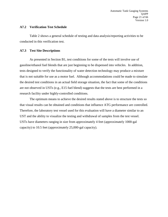#### **A7.2 Verification Test Schedule**

Table 2 shows a general schedule of testing and data analysis/reporting activities to be conducted in this verification test.

#### **A7.3 Test Site Descriptions**

As presented in Section B1, test conditions for some of the tests will involve use of gasoline/ethanol fuel blends that are just beginning to be dispensed into vehicles. In addition, tests designed to verify the functionality of water detection technology may produce a mixture that is not suitable for use as a motor fuel. Although accommodations could be made to simulate the desired test conditions in an actual field storage situation, the fact that some of the conditions are not observed in USTs (e.g., E15 fuel blend) suggests that the tests are best performed in a research facility under highly-controlled conditions.

The optimum means to achieve the desired results stated above is to structure the tests so that visual results can be obtained and conditions that influence ATG performance are controlled. Therefore, the laboratory test vessel used for this evaluation will have a diameter similar to an UST and the ability to visualize the testing and withdrawal of samples from the test vessel. USTs have diameters ranging in size from approximately 4 feet (approximately 1000-gal capacity) to 10.5 feet (approximately 25,000-gal capacity).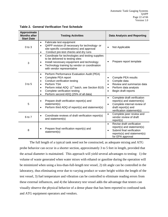| Approximate<br><b>Months after</b><br><b>Start Date</b> | <b>Testing Activities</b>                                                                                                                                                                                                                                                                                                               | <b>Data Analysis and Reporting</b>                                                                                                                                                |
|---------------------------------------------------------|-----------------------------------------------------------------------------------------------------------------------------------------------------------------------------------------------------------------------------------------------------------------------------------------------------------------------------------------|-----------------------------------------------------------------------------------------------------------------------------------------------------------------------------------|
| $0$ to $3$                                              | Fabricate test equipment<br>$\bullet$<br>QAPP revision (if necessary for technology- or<br>site-specific considerations) and approval<br>Conduct pre-test checks and dry runs<br>$\bullet$                                                                                                                                              | Not Applicable                                                                                                                                                                    |
| 3                                                       | Coordinate for technologies and testing supplies<br>$\bullet$<br>to be delivered to testing sites<br>Install necessary equipment and technology<br>$\bullet$<br>Technology training by vendor or coordination<br>$\bullet$<br>with vendor representative                                                                                | Prepare report template                                                                                                                                                           |
| 3 to 5                                                  | Perform Performance Evaluation Audit (PEA)<br>$\bullet$<br>Complete PEA report<br>$\bullet$<br>Conduct verification testing<br>$\bullet$<br>Perform TSA<br>$\bullet$<br>Perform initial ADQ (1 <sup>st</sup> batch, see Section B10)<br>Complete verification testing<br>$\bullet$<br>Perform second ADQ (25% of all data)<br>$\bullet$ | Compile PEA results<br>$\bullet$<br>Compile data<br>$\bullet$<br>Review and summarize data<br>$\bullet$<br>Perform data analysis<br>$\bullet$<br>Begin draft reports<br>$\bullet$ |
| 5                                                       | Prepare draft verification report(s) and<br>statement(s)<br>Perform third ADQ of report(s) and statement(s)                                                                                                                                                                                                                             | Complete draft verification<br>$\bullet$<br>report(s) and statement(s)<br>Complete internal review of<br>$\bullet$<br>draft report(s) and<br>verification statement(s)            |
| 6 to 7                                                  | Coordinate reviews of draft verification report(s)<br>٠<br>and statement(s)                                                                                                                                                                                                                                                             | Complete peer review and<br>$\bullet$<br>vendor review of draft<br>report(s)                                                                                                      |
| 8                                                       | Prepare final verification report(s) and<br>statement(s)                                                                                                                                                                                                                                                                                | Revise draft verification<br>$\bullet$<br>report(s) and statement(s)<br>Submit final verification<br>$\bullet$<br>reports(s) and statement(s)<br>for EPA approval                 |

<span id="page-21-0"></span>**Table 2. General Verification Test Schedule**

The full length of a typical tank need not be constructed, as adequate mixing and ATG probe behavior can occur in a shorter section, approximately 3 to 5 feet in length, provided that the actual diameter is maintained. This approach will yield several advantages to testing: 1) the volume of waste generated when water mixes with ethanol or gasoline during the operation will be minimized when using a less-than-full-length test vessel, 2) tilt angle can be controlled in the laboratory, thus eliminating error due to varying product or water height within the length of the test vessel, 3) fuel temperature and vibration can be controlled to eliminate reading errors from these external influences, and 4) the laboratory test vessel adds the advantage that testers can visually observe the physical behavior of a dense phase that has been reported to confound tank and ATG equipment operators and vendors.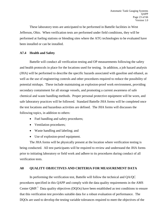These laboratory tests are anticipated to be performed in Battelle facilities in West Jefferson, Ohio. When verification tests are performed under field conditions, they will be performed at fueling stations or blending sites where the ATG technologies to be evaluated have been installed or can be installed.

#### **A7.4 Health and Safety**

Battelle will conduct all verification testing and OP measurements following the safety and health protocols in place for the locations used for testing. In addition, a job hazard analysis (JHA) will be performed to describe the specific hazards associated with gasoline and ethanol, as well as the use of engineering controls and other procedures required to reduce the possibility of potential mishaps. These include maintaining an explosion-proof work environment, providing secondary containment for all storage vessels, and promoting a current awareness of safe chemical and waste handling methods. Proper personal protective equipment will be worn, and safe laboratory practices will be followed. Standard Battelle JHA forms will be completed once the test locations and hazardous activities are defined. The JHA forms will discusses the following topics, in addition to others:

- Fuel handling and safety procedures;
- Ventilation procedures;
- Waste handling and labeling; and
- Use of explosion-proof equipment.

The JHA forms will be physically present at the location where verification testing is being conducted. All test participants will be required to review and understand the JHA forms prior to initiating laboratory or field work and adhere to its procedures during conduct of all verification tests.

#### <span id="page-22-0"></span>**A8 QUALITY OBJECTIVES AND CRITERIA FOR MEASUREMENT DATA**

In performing the verification test, Battelle will follow the technical and QA/QC procedures specified in this QAPP and comply with the data quality requirements in the AMS Center  $QMP<sup>1</sup>$  Data quality objectives (DQOs) have been established as test conditions to ensure that this verification test provides suitable data for a robust evaluation of performance. The DQOs are used to develop the testing variable tolerances required to meet the objectives of the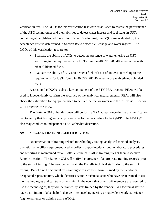verification test. The DQOs for this verification test were established to assess the performance of the ATG technologies and their abilities to detect water ingress and fuel leaks in USTs containing ethanol-blended fuels. For this verification test, the DQOs are evaluated by the acceptance criteria determined in Section B5 to detect fuel leakage and water ingress. The DQOs of this verification test are to:

- Evaluate the ability of ATGs to detect the presence of water entering an UST according to the requirements for USTs found in 40 CFR 280.40 when in use with ethanol-blended fuels.
- Evaluate the ability of ATGs to detect a fuel leak out of an UST according to the requirements for USTs found in 40 CFR 280.40 when in use with ethanol-blended fuels.

Assessing the DQOs is also a key component of the ETV PEA process. PEAs will be used to independently confirm the accuracy of the analytical measurements. PEAs will also check the calibration for equipment used to deliver the fuel or water into the test vessel. Section C1.1 describes the PEA.

The Battelle QM or her designee will perform a TSA at least once during this verification test to verify that testing and analysis were performed according to the QAPP. The EPA QM also may conduct an independent TSA, at his/her discretion.

#### <span id="page-23-0"></span>**A9 SPECIAL TRAINING/CERTIFICATION**

Documentation of training related to technology testing, analytical method analysis, operation of ancillary equipment used to collect supporting data, routine laboratory procedures, and reporting is maintained for all Battelle technical staff in training files at their respective Battelle location. The Battelle QM will verify the presence of appropriate training records prior to the start of testing. The vendors will train the Battelle technical staff prior to the start of testing. Battelle will document this training with a consent form, signed by the vendor or designated representative, which identifies Battelle technical staff who have been trained to use their technologies and can train other staff. In the event that other staff members are required to use the technologies, they will be trained by staff trained by the vendors. All technical staff will have a minimum of a bachelor's degree in science/engineering or equivalent work experience (e.g., experience or training using ATGs).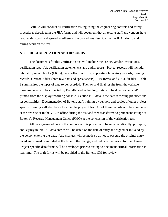Battelle will conduct all verification testing using the engineering controls and safety procedures described in the JHA forms and will document that all testing staff and vendors have read, understood, and agreed to adhere to the procedures described in the JHA prior to and during work on the test.

#### <span id="page-24-0"></span>**A10 DOCUMENTATION AND RECORDS**

The documents for this verification test will include the QAPP, vendor instructions, verification report(s), verification statement(s), and audit reports. Project records will include: laboratory record books (LRBs); data collection forms; supporting laboratory records, training records, electronic files (both raw data and spreadsheets), JHA forms, and QA audit files. Table 3 summarizes the types of data to be recorded. The raw and final results from the variable measurements will be collected by Battelle, and technology data will be downloaded and/or printed from the display/recording console. Section B10 details the data recording practices and responsibilities. Documentation of Battelle staff training by vendors and copies of other project specific training will also be included in the project files. All of these records will be maintained at the test site or in the VTC's office during the test and then transferred to permanent storage at Battelle's Records Management Office (RMO) at the conclusion of the verification test.

All data generated during the conduct of this project will be recorded directly, promptly, and legibly in ink. All data entries will be dated on the date of entry and signed or initialed by the person entering the data. Any changes will be made so as not to obscure the original entry, dated and signed or initialed at the time of the change, and indicate the reason for the change. Project-specific data forms will be developed prior to testing to document critical information in real time. The draft forms will be provided to the Battelle QM for review.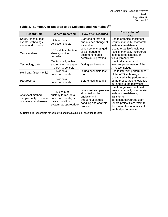| <b>Record/Data</b>                                                     | <b>Where Recorded</b>                                                                                        | How often recorded                                                                                                  | <b>Disposition of</b><br>Data                                                                                                                                                                                             |
|------------------------------------------------------------------------|--------------------------------------------------------------------------------------------------------------|---------------------------------------------------------------------------------------------------------------------|---------------------------------------------------------------------------------------------------------------------------------------------------------------------------------------------------------------------------|
| Dates, times of test<br>events, technology<br>model and console        | LRBs or data<br>collection sheets                                                                            | Start/end of test run,<br>and at each change of<br>a variable                                                       | Use to organize/check test<br>results; manually incorporate<br>in data spreadsheets                                                                                                                                       |
| Test variables                                                         | LRBs, data collection<br>sheets, or video<br>recording                                                       | When set or changed,<br>or as needed to<br>document notable<br>details during testing                               | Use to organize/check test<br>results; manually incorporate<br>in data spreadsheets, or<br>visually record test                                                                                                           |
| Technology data                                                        | Electronically within<br>and on thermal paper<br>in the ATG console                                          | During each test run                                                                                                | Use to document and<br>interpret performance of the<br>ATG technology                                                                                                                                                     |
| Field data (Test 4 only)                                               | LRBs or data<br>collection sheets                                                                            | During each field test<br>run                                                                                       | Use to interpret performance<br>of the ATG technology                                                                                                                                                                     |
| PEA records                                                            | LRBs or data<br>collection sheets                                                                            | Before testing begins                                                                                               | Use to verify the performance<br>of the procedures to leak fluid<br>out and into the test vessel                                                                                                                          |
| Analytical method<br>sample analysis, chain<br>of custody, and results | LRBs, chain of<br>custody forms, data<br>collection sheets, or<br>data acquisition<br>system, as appropriate | When test samples are<br>aliquoted for the<br>analysis and<br>throughout sample<br>handling and analysis<br>process | Use to organize/check test<br>results; manually incorporate<br>in data spreadsheets;<br>transfer to<br>spreadsheets/agreed upon<br>report; project files; retain for<br>documentation of analytical<br>method performance |

<span id="page-25-0"></span>**Table 3. Summary of Records to be Collected and Maintained(a)**

a. Battelle is responsible for collecting and maintaining all specified records.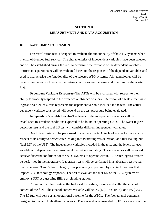## **SECTION B MEASUREMENT AND DATA ACQUISITION**

#### <span id="page-26-1"></span><span id="page-26-0"></span>**B1 EXPERIMENTAL DESIGN**

This verification test is designed to evaluate the functionality of the ATG systems when in ethanol-blended fuel service. The characteristics of independent variables have been selected and will be established during the runs to determine the response of the dependent variables. Performance parameters will be evaluated based on the responses of the dependent variables and used to characterize the functionality of the selected ATG systems. All technologies will be tested simultaneously to ensure the testing conditions are the same and to minimize the wasted fuel.

**Dependent Variable Responses--**The ATGs will be evaluated with respect to their ability to properly respond to the presence or absence of a leak. Detection of a leak, either water ingress or a fuel leak, thus represents the dependent variable included in the test. The actual dependent variable considered will depend on the test procedure being evaluated.

**Independent Variable Levels--**The levels of the independent variables will be established to simulate conditions expected to be found in operating USTs. The water ingress detection tests and the fuel LD test will consider different independent variables.

One to four tests will be performed to evaluate the ATG technology performance with respect to its ability to detect water leaking into (water ingress detection) and fuel leaking out (fuel LD) of the UST. The independent variables included in the tests and the levels for each variable will depend on the environment the test is simulating. These variables will be varied to achieve different conditions for the ATG systems to operate within. All water ingress tests will be performed in the laboratory. Laboratory tests will be performed in a laboratory test vessel that is between 3 and 5 feet in length, thus preserving important physical tank features that impact ATG technology response. The test to evaluate the fuel LD of the ATG systems will employ a UST at a gasoline filling or blending station.

Common to all four tests is the fuel used for testing, more specifically, the ethanol content of the fuel. The ethanol content variable will be 0% (E0), 15% (E15), or 85% (E85). The E0 fuel will serve as an operational baseline for the ATGs. The fuel ethanol content is designed to low and high ethanol contents. The low end is represented by E15 as a result of the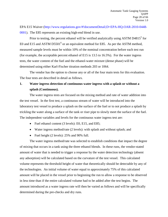EPA E15 Waiver [\(http://www.regulations.gov/#!documentDetail;D=EPA-HQ-OAR-2010-0448-](http://www.regulations.gov/%23!documentDetail;D=EPA-HQ-OAR-2010-0448-0001) [0001\)](http://www.regulations.gov/%23!documentDetail;D=EPA-HQ-OAR-2010-0448-0001). The E85 represents an existing high-end blend in use.

Prior to testing, the percent ethanol will be verified analytically using ASTM D4815<sup>5</sup> for E0 and E15 and ASTM D5501<sup>6</sup> or an equivalent method for E85. As per the ASTM method, measured sample levels must be within 10% of the nominal concentration before each test run (for example, the acceptable percent ethanol of E15 is 13.5 to 16.5%). For the water ingress tests, the water content of the fuel and the ethanol-water mixture (dense phase) will be determined using either Karl-Fischer titration methods 203 or 1064.

The vendor has the option to choose any or all of the four main tests for this evaluation. The four tests are described in detail as follows.

## **1. Water ingress detection of continuous water ingress with a splash or without a splash (Continuous).**

The water ingress tests are focused on the mixing method and rate of water addition into the test vessel. In the first test, a continuous stream of water will be introduced into the laboratory test vessel to produce a splash on the surface of the fuel or to not produce a splash by trickling the water along a surface of the tank or riser pipe to slowly meet the surface of the fuel. The independent variables and levels for the continuous water ingress test are:

- Fuel ethanol content (3 levels): E0, E15, and E85;
- Water ingress method/rate (2 levels): with splash and without splash; and
- Fuel height (2 levels): 25% and 90% full.

The water ingress method/rate was selected to establish conditions that impact the degree of mixing that occurs in a tank using the three ethanol blends. In these runs, the vendor-stated amount of water that is needed to trigger a response by the water detection technology (absent any adsorption) will be calculated based on the curvature of the test vessel. This calculated volume represents the threshold height of water that theoretically should be detectable by any of the technologies. An initial volume of water equal to approximately 75% of this calculated amount will be placed in the vessel prior to beginning the run to allow a response to be observed in less time than if the entire calculated volume had to be added after the test begins. The amount introduced as a water ingress rate will then be varied as follows and will be specifically determined during the pre-checks and dry runs.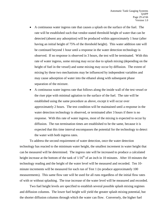- A continuous water ingress rate that causes a splash on the surface of the fuel. The rate will be established such that vendor-stated threshold height of water that can be detected (absent any adsorption) will be produced within approximately 1 hour (after having an initial height of 75% of the threshold height). This water addition rate will be continued beyond 1 hour until a response in the water detection technology is observed. If no response is observed in 3 hours, the test will be terminated. With this rate of water ingress, some mixing may occur due to splash mixing (depending on the height of fuel in the vessel) and some mixing may occur by diffusion. The extent of mixing by these two mechanisms may be influenced by independent variables and may cause adsorption of water into the ethanol along with subsequent phase separation of the mixture.
- A continuous water ingress rate that follows along the inside wall of the test vessel or the riser pipe with minimal agitation to the surface of the fuel. The rate will be established using the same procedure as above, except it will occur over approximately 2 hours. The test condition will be maintained until a response in the water detection technology is observed, or terminated after 3 hours if there is no response. With this rate of water ingress, most of the mixing is expected to occur by diffusion. The run termination times are established to be the same, because it is expected that this time interval encompasses the potential for the technology to detect the water with both ingress rates.

To address the second requirement of water detection, once the water detection technology has reacted to the minimum water height, the smallest increment in water height that can be measured will be determined. The ingress rate will be increased to produce a calculated height increase at the bottom of the tank of  $1/16<sup>th</sup>$  of an inch in 10 minutes. After 10 minutes the technology reading and the height of the water level will be measured and recorded. Ten 10 minute increments will be measured for each run of Test 1 (to produce approximately 100 measurements). This same flow rate will be used for all runs regardless of the initial flow rates of with or without splashing. The true increase of the water level will be measured and recorded.

Two fuel height levels are specified to establish several possible splash mixing regimes and diffusion columns. The lower fuel height will yield the greater splash mixing potential, but the shorter diffusion columns through which the water can flow. Conversely, the higher fuel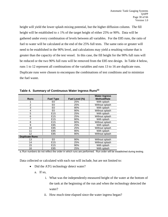height will yield the lower splash mixing potential, but the higher diffusion column. The fill height will be established to  $\pm$  1% of the target height of either 25% or 90%. Data will be gathered under every combination of levels between all variables. For the E85 runs, the ratio of fuel to water will be calculated at the end of the 25% full tests. The same ratio or greater will need to be established in the 90% level, and calculations may yield a resulting volume that is greater than the capacity of the test vessel. In this case, the fill height for the 90% full runs will be reduced or the two 90% full runs will be removed from the E85 test design. In Table 4 below, runs 1 to 12 represent all combinations of the variables and runs 13 to 16 are duplicate runs. Duplicate runs were chosen to encompass the combinations of test conditions and to minimize the fuel waste.

|                       |                  |                | <b>Water Ingress</b> |
|-----------------------|------------------|----------------|----------------------|
| <b>Runs</b>           | <b>Fuel Type</b> | Fuel Level (%) | <b>Method/Rate</b>   |
|                       | E0               | 25%            | With splash          |
| 2                     | E0               | 25%            | Without splash       |
| 3                     | E <sub>0</sub>   | 90%            | With splash          |
| 4                     | E <sub>0</sub>   | 90%            | Without splash       |
| 5                     | E <sub>15</sub>  | 25%            | With splash          |
| 6                     | E <sub>15</sub>  | 25%            | Without splash       |
|                       | E <sub>15</sub>  | 90%            | With splash          |
| 8                     | E <sub>15</sub>  | 90%            | Without splash       |
| 9                     | E85              | 25%            | With splash          |
| 10                    | E85              | 25%            | Without splash       |
| 11                    | E85              | 90%            | With splash          |
| 12                    | E85              | 90%            | Without splash       |
| <b>Duplicate Runs</b> |                  |                |                      |
| 13                    | E <sub>0</sub>   | 90%            | Without splash       |
| 14                    | E <sub>15</sub>  | 25%            | Without splash       |
| 15                    | E <sub>15</sub>  | 90%            | With splash          |
| 16                    | E85              | 25%            | With splash          |

**Table 4. Summary of Continuous Water Ingress Runs(a)**

a. Run numbers do not reflect the order in which runs are performed. Run order will be established during testing.

Data collected or calculated with each run will include, but are not limited to:

- Did the ATG technology detect water?
	- a. If so,
		- i. What was the independently-measured height of the water at the bottom of the tank at the beginning of the run and when the technology detected the water?
		- ii. How much time elapsed since the water ingress began?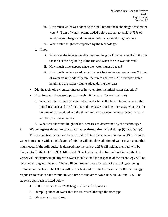- iii. How much water was added to the tank before the technology detected the water? (Sum of water volume added before the run to achieve 75% of vendor-stated height and the water volume added during the run.)
- iv. What water height was reported by the technology?
- b. If not,
	- i. What was the independently-measured height of the water at the bottom of the tank at the beginning of the run and when the run was aborted?
	- ii. How much time elapsed since the water ingress began?
	- iii. How much water was added to the tank before the run was aborted? (Sum of water volume added before the run to achieve 75% of vendor-stated height and the water volume added during the run.)
- Did the technology register increases in water after the initial water detection?
- If so, for every increase (approximately 10 increases for each test run),
	- c. What was the volume of water added and what is the time interval between the initial response and the first detected increase? For later increases, what was the volume of water added and the time intervals between the most recent increase and the previous increase?
	- d. What was the water height of the increases as determined by the technology?

#### **2. Water ingress detection of a quick water dump, then a fuel dump (Quick Dump)**

This second test focuses on the potential to detect phase separation in an UST. A quick water ingress rate with a high degree of mixing will simulate addition of water in a manner that might occur if the spill bucket is dumped into the tank at a 25% fill height, then fuel will be dumped to fill the tank to a 90% fill height. This test is mainly observational in that the test vessel will be disturbed quickly with water then fuel and the response of the technology will be recorded throughout the test. There will be three runs, one for each of the fuel types being evaluated in this test. The E0 run will be run first and used as the baseline for the technology responses to establish the minimum wait time for the other two runs with E15 and E85. The stepwise approach is listed below.

- 1. Fill test vessel to the 25% height with the fuel product.
- 2. Dump 2 gallons of water into the test vessel through the riser pipe.
- 3. Observe and record results.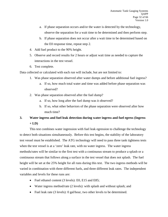- a. If phase separation occurs and/or the water is detected by the technology, observe the separation for a wait time to be determined and then perform step.
- b. If phase separation does not occur after a wait time to be determined based on the E0 response time, repeat step 2.
- 4. Add fuel product to the 90% height.
- 5. Observe and record results for 2 hours or adjust wait time as needed to capture the interactions in the test vessel.
- 6. Test complete.

Data collected or calculated with each run will include, but are not limited to:

- 1. Was phase separation observed after water dumps and before additional fuel ingress?
	- a. If so, how much total water and time was added before phase separation was observed?
- 2. Was phase separation observed after the fuel dump?
	- a. If so, how long after the fuel dump was it observed?
	- b. If so, what other behaviors of the phase separation were observed after how much time?

## **3. Water ingress and fuel leak detection during water ingress and fuel egress (Ingress + LD)**

This test combines water ingression with fuel leak egression to challenge the technology to detect both situations simultaneously. Before this test begins, the stability of the laboratory test vessel must be established. The ATG technology will need to pass three tank tightness tests when the test vessel is at a 'zero' leak rate, with no water ingress. The water ingress methods/rates will be similar to the first test with a continuous stream to produce a splash or a continuous stream that follows along a surface in the test vessel that does not splash. The fuel height will be set at the 25% height for all runs during this test. The two ingress methods will be varied in combination with three different fuels, and three different leak rates. The independent variables and levels for these runs are:

- Fuel ethanol content (3 levels): E0, E15 and E85;
- Water ingress method/rate (2 levels): with splash and without splash; and
- Fuel leak rate (3 levels): 0 gal/hour, two other levels to be determined.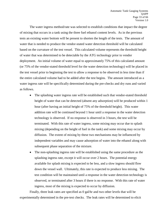The water ingress method/rate was selected to establish conditions that impact the degree of mixing that occurs in a tank using the three fuel ethanol content levels. As in the previous tests an existing water bottom will be present to shorten the length of the tests. The amount of water that is needed to produce the vendor-stated water detection threshold will be calculated based on the curvature of the test vessel. This calculated volume represents the threshold height of water that was determined to be detectable by the ATG technology prior to vendor deployment. An initial volume of water equal to approximately 75% of this calculated amount (or 75% of the vendor-stated threshold level for the water detection technology) will be placed in the test vessel prior to beginning the test to allow a response to be observed in less time than if the entire calculated volume had to be added after the test begins. The amount introduced as a water ingress rate will be specifically determined during the pre-checks and dry runs and varied as follows.

- The splashing water ingress rate will be established such that vendor-stated threshold height of water that can be detected (absent any adsorption) will be produced within 1 hour (after having an initial height of 75% of the threshold height). This water addition rate will be continued beyond 1 hour until a response in the water detection technology is observed. If no response is observed in 3 hours, the test will be terminated. With this rate of water ingress, some mixing may occur due to splash mixing (depending on the height of fuel in the tank) and some mixing may occur by diffusion. The extent of mixing by these two mechanisms may be influenced by independent variables and may cause adsorption of water into the ethanol along with subsequent phase separation of the mixture.
- The non-splashing ingress rate will be established using the same procedure as the splashing ingress rate, except it will occur over 2 hours. The potential energy available for splash mixing is expected to be less, and a slow ingress should flow down the vessel wall. Ultimately, this rate is expected to produce less mixing. The test condition will be maintained until a response in the water detection technology is observed, or terminated after 3 hours if there is no response. With this rate of water ingress, most of the mixing is expected to occur by diffusion.

Finally, three leak rates are specified as 0 gal/hr and two other levels that will be experimentally determined in the pre-test checks. The leak rates will be determined to elicit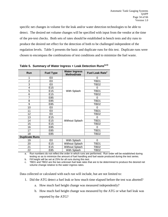specific net changes in volume for the leak and/or water detection technologies to be able to detect. The desired net volume changes will be specified with input from the vendor at the time of the pre-test checks. Both sets of rates should be established in bench tests and dry runs to produce the desired net effect for the detection of both to be challenged independent of the regulation levels. Table 5 presents the basic and duplicate runs for this test. Duplicate runs were chosen to encompass the combinations of test conditions and to minimize the fuel waste.

| E <sub>0</sub><br>1<br>0<br>$\overline{2}$<br>E <sub>0</sub><br>TBD1<br>3<br>E0<br>TBD <sub>2</sub><br>E <sub>15</sub><br>4<br>0<br>5<br>E <sub>15</sub><br>TBD1<br>With Splash<br>6<br>E <sub>15</sub><br>TBD2<br>7<br>E85<br>0<br>8<br>TBD1<br>E85<br>9<br>E85<br>TBD <sub>2</sub><br>10<br>E0<br>0 | Run | <b>Fuel Type</b> | <b>Water Ingress</b><br>Method/rate | Fuel Leak Rate <sup>c</sup> |  |
|-------------------------------------------------------------------------------------------------------------------------------------------------------------------------------------------------------------------------------------------------------------------------------------------------------|-----|------------------|-------------------------------------|-----------------------------|--|
|                                                                                                                                                                                                                                                                                                       |     |                  |                                     |                             |  |
|                                                                                                                                                                                                                                                                                                       |     |                  |                                     |                             |  |
|                                                                                                                                                                                                                                                                                                       |     |                  |                                     |                             |  |
|                                                                                                                                                                                                                                                                                                       |     |                  |                                     |                             |  |
|                                                                                                                                                                                                                                                                                                       |     |                  |                                     |                             |  |
|                                                                                                                                                                                                                                                                                                       |     |                  |                                     |                             |  |
|                                                                                                                                                                                                                                                                                                       |     |                  |                                     |                             |  |
|                                                                                                                                                                                                                                                                                                       |     |                  |                                     |                             |  |
|                                                                                                                                                                                                                                                                                                       |     |                  |                                     |                             |  |
|                                                                                                                                                                                                                                                                                                       |     |                  |                                     |                             |  |
| 11<br>E0<br>TBD1                                                                                                                                                                                                                                                                                      |     |                  |                                     |                             |  |
| 12<br>E <sub>0</sub><br>TBD2                                                                                                                                                                                                                                                                          |     |                  |                                     |                             |  |
| 13<br>E <sub>15</sub><br>0                                                                                                                                                                                                                                                                            |     |                  |                                     |                             |  |
| 14<br>E <sub>15</sub><br>TBD1<br><b>Without Splash</b>                                                                                                                                                                                                                                                |     |                  |                                     |                             |  |
| 15<br>E15<br>TBD <sub>2</sub>                                                                                                                                                                                                                                                                         |     |                  |                                     |                             |  |
| 16<br>E85<br>0                                                                                                                                                                                                                                                                                        |     |                  |                                     |                             |  |
| 17<br>E85<br>TBD1                                                                                                                                                                                                                                                                                     |     |                  |                                     |                             |  |
| 18<br>E85<br>TBD2                                                                                                                                                                                                                                                                                     |     |                  |                                     |                             |  |
| <b>Duplicate Runs</b>                                                                                                                                                                                                                                                                                 |     |                  |                                     |                             |  |
| E <sub>0</sub><br>19<br>With Splash<br>0                                                                                                                                                                                                                                                              |     |                  |                                     |                             |  |
| E <sub>15</sub><br><b>Without Splash</b><br>TBD1<br>20                                                                                                                                                                                                                                                |     |                  |                                     |                             |  |
| E <sub>15</sub><br><b>Without Splash</b><br>21<br>TBD2                                                                                                                                                                                                                                                |     |                  |                                     |                             |  |
| 22<br>E85<br>With Splash<br>TBD <sub>2</sub>                                                                                                                                                                                                                                                          |     |                  |                                     |                             |  |

<span id="page-33-0"></span>**Table 5. Summary of Water Ingress + Leak Detection Runs(a,b)**

a. Run numbers do not reflect the order in which runs are performed. Run order will be established during testing so as to minimize the amount of fuel handling and fuel waste produced during the test series.

b. Fill height will be set at 25% for all runs during this test.

c. TBD1 and TBD2 are the two unknown fuel leak rates that are to be determined to produce the desired net volume change relative to the water ingress rates.

Data collected or calculated with each run will include, but are not limited to:

- 1. Did the ATG detect a fuel leak or how much time elapsed before the test was aborted?
	- a. How much fuel height change was measured independently?
	- b. How much fuel height change was measured by the ATG or what fuel leak was reported by the ATG?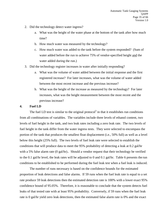- 2. Did the technology detect water ingress?
	- a. What was the height of the water phase at the bottom of the tank after how much time?
	- b. How much water was measured by the technology?
	- c. How much water was added to the tank before the system responded? (Sum of water added before the run to achieve 75% of vendor-specified height and the water added during the run.)
- 3. Did the technology register increases in water after initially responding?
	- a. What was the volume of water added between the initial response and the first registered increase? For later increases, what was the volume of water added between the most recent increase and the previous increase?
	- b. What was the height of the increase as measured by the technology? For later increases, what was the height measurement between the most recent and the previous increase?

#### **4. Fuel LD**

The fuel LD test is similar to the original protocol<sup>3</sup> in that it establishes run conditions from all combinations of variables. The variables include three levels of ethanol content, two levels of fuel height in the tank, and two leak rates including a zero leak rate. The two levels of fuel height in the tank differ from the water ingress tests. They were selected to encompass the portion of the tank that produces the smallest float displacement (i.e., 50% full) as well as a level below this height (25% full). The two levels of fuel leak rate were selected to establish the conditions that will produce data to meet the 95% probability of detecting a leak at 0.2 gal/hr with a 5% false alarm rate (0 gal/hr).. Should a vendor request that their technology be verified to the 0.1 gal/hr level, the leak rates will be adjusted to 0 and 0.1 gal/hr. Table 6 presents the run conditions to be established to be performed during the fuel leak test when a fuel leak is induced.

The number of runs necessary is based on the confidence bounds for the estimated proportion of leak detections and false alarms. If 59 runs when the fuel leak rate is equal to a set rate produce 59 leak detections then the estimated detection rate is 100% with a lower exact 95% confidence bound of 95.05%. Therefore, it is reasonable to conclude that the system detects fuel leaks of that tested rate with at least 95% probability. Conversely, if 59 runs when the fuel leak rate is 0 gal/hr yield zero leak detections, then the estimated false alarm rate is 0% and the exact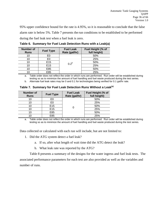95% upper confidence bound for the rate is 4.95%, so it is reasonable to conclude that the false alarm rate is below 5%. Table 7 presents the run conditions to be established to be performed during the fuel leak test when a fuel leak is zero.

| <b>Number of</b><br><b>Runs</b> | <b>Fuel Type</b> | <b>Fuel Leak</b><br>Rate (gal/hr) | Fuel Height (% of<br>full height) |
|---------------------------------|------------------|-----------------------------------|-----------------------------------|
| 10                              | E0               |                                   | 50%                               |
| 10                              | E0               | $0.2^b$                           | 25%                               |
| 10                              | E15              |                                   | 50%                               |
| 10                              | E15              |                                   | 25%                               |
| 10                              | E85              |                                   | 50%                               |
| 10                              | E85              |                                   | 25%                               |

**Table 6. Summary for Fuel Leak Detection Runs with a Leak(a)**

a. Table order does not reflect the order in which runs are performed. Run order will be established during testing so as to minimize the amount of fuel handling and fuel waste produced during the test series.

b. Alternate fuel leak rates may be 0 and 0.1 for technologies being verified for 0.1 gal/hr rate.

|  |  |  |  |  |  | Table 7. Summary for Fuel Leak Detection Runs Without a Leak <sup>(a)</sup> |  |
|--|--|--|--|--|--|-----------------------------------------------------------------------------|--|
|--|--|--|--|--|--|-----------------------------------------------------------------------------|--|

| <b>Number of</b><br><b>Runs</b> | <b>Fuel Type</b> | <b>Fuel Leak</b><br>Rate (gal/hr) | Fuel Height (% of<br>full height) |  |  |
|---------------------------------|------------------|-----------------------------------|-----------------------------------|--|--|
| 10                              | E0               |                                   | 50%                               |  |  |
| 10                              | E0               |                                   | 25%                               |  |  |
| 10                              | E <sub>15</sub>  |                                   | 50%                               |  |  |
| 10                              | E <sub>15</sub>  |                                   | 25%                               |  |  |
| 10                              | E85              |                                   | 50%                               |  |  |
| 10                              | E85              |                                   | 25%                               |  |  |

a. Table order does not reflect the order in which runs are performed. Run order will be established during testing so as to minimize the amount of fuel handling and fuel waste produced during the test series.

Data collected or calculated with each run will include, but are not limited to:

- 1. Did the ATG system detect a fuel leak?
	- a. If so, after what length of wait time did the ATG detect the leak?
	- b. What leak rate was reported by the ATG?

<span id="page-35-0"></span>Table 8 presents a summary of the designs for the water ingress and fuel leak tests. The associated performance parameters for each test are also provided as well as the variables and number of runs.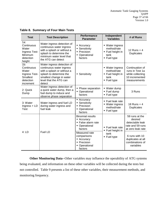| <b>Test</b>                                                                                 | <b>Test Description</b>                                                                                                                                                         | <b>Performance</b><br><b>Parameter</b>                                                  | Independent<br><b>Variables</b>                                           | # of Runs                                                                                |
|---------------------------------------------------------------------------------------------|---------------------------------------------------------------------------------------------------------------------------------------------------------------------------------|-----------------------------------------------------------------------------------------|---------------------------------------------------------------------------|------------------------------------------------------------------------------------------|
| 1a:<br>Continuous<br>Water<br>Ingress Test-<br>Minimum<br>detection<br>height               | Water ingress detection of<br>continuous water ingress<br>with a splash or without a<br>splash to determine the<br>minimum water level that<br>the ATG can detect               | • Accuracy<br>• Sensitivity<br>• Precision<br>• Operational<br>factors                  | ■ Water ingress<br>method/rate<br>■ Fuel height in<br>tank<br>• Fuel type | 12 Runs $+4$<br><b>Duplicates</b>                                                        |
| $1b$ :<br>Continuous<br>Water<br>Ingress Test-<br><b>Smallest</b><br>detection<br>increment | Water ingress detection of<br>continuous water ingress<br>with a splash or without a<br>splash to determine the<br>smallest change in water<br>level that the ATG can<br>detect | • Sensitivity                                                                           | • Water ingress<br>method/rate<br>■ Fuel height in<br>tank<br>■ Fuel type | Continuation of<br>runs in Test 1a<br>while collecting<br>10 incremented<br>measurements |
| 2: Quick<br>Dump                                                                            | Water ingress detection of<br>a quick water dump, then a<br>fuel dump to induce and<br>observe phase separation                                                                 | • Phase separation<br>• Operational<br>factors                                          | ■ Water dump<br>Fuel dump<br>■ Fuel type                                  | 3 Runs                                                                                   |
| 3: Water<br>Ingress + LD<br><b>Test</b>                                                     | Water ingress and fuel LD<br>during water ingress and<br>fuel leak                                                                                                              | • Accuracy<br>Sensitivity<br>• Precision<br>Operational<br>factors                      | • Fuel leak rate<br>• Water ingress<br>method/rate<br>• Fuel type         | 18 Runs $+4$<br>Duplicates                                                               |
| 4:LD                                                                                        |                                                                                                                                                                                 | <b>Binomial results</b><br>• Accuracy<br>• False alarm rate<br>• Operational<br>factors | • Fuel leak rate<br>■ Fuel height in                                      | 59 runs at the<br>desired<br>detectable leak<br>rate and 59 runs<br>at zero leak rate    |
|                                                                                             | <b>Fuel LD</b>                                                                                                                                                                  | Measured rate<br>comparisons<br>• Accuracy<br>• Precision<br>• Operational<br>factors   | tank<br>• Fuel type                                                       | 6 runs with 10<br>duplicates at all<br>combinations of<br>variables                      |

#### **Table 8. Summary of Four Main Tests**

<span id="page-36-0"></span>**Other Monitoring Data**--Other variables may influence the operability of ATG systems being evaluated, and information on these other variables will be collected during the tests but not controlled. Table 9 presents a list of these other variables, their measurement methods, and monitoring frequency.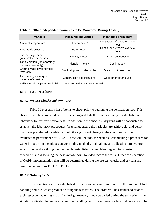| Variable                                                | <b>Measurement Method</b>   | <b>Monitoring Frequency</b>           |
|---------------------------------------------------------|-----------------------------|---------------------------------------|
| Ambient temperature                                     | Thermometer*                | Continuously/record every 1/2<br>hour |
| Barometric pressure                                     | Barometer*                  | Continuously/record every 1/2<br>hour |
| Fuel density/specific<br>gravity/other properties       | Density meter*              | Semi-continuously                     |
| Tank vibration (for laboratory<br>fuel leak tests only) | Vibration meter*            | Continuously                          |
| Ground water level (for field<br>tests only)            | Monitoring well or Geoprobe | Once prior to each test               |
| Tank size, geometry, and<br>material of construction    | Construction specifications | Once prior to tank use                |

**Table 9. Other Independent Variables to be Monitored During Testing**

\* Calibration will be performed initially and as stated in the instrument manual.

#### **B1.1 Test Procedures**

#### *B1.1.1 Pre-test Checks and Dry Runs*

Table 10 presents a list of items to check prior to beginning the verification test. This checklist will be completed before proceeding and lists the tasks necessary to establish a safe laboratory for this verification test. In addition to the checklist, dry runs will be conducted to establish the laboratory procedures for testing, ensure the variables are achievable, and verify that these preselected variables will elicit a significant change in the condition in order to evaluate the performance of ATGs. These will include, for example, establishing a procedure for water introduction techniques and/or mixing methods, maintaining and adjusting temperature, establishing and verifying the fuel height, establishing a fuel blending and transferring procedure, and discerning the best vantage point to video record the tests. Other considerations of QAPP implementation that will be determined during the pre-test checks and dry runs are described in sections B1.1.2 to B1.1.4.

#### *B1.1.2 Order of Tests*

Run conditions will be established in such a manner so as to minimize the amount of fuel handling and fuel waste produced during the test series. The order will be established prior to each test type (water ingress or fuel leak); however, it may be varied during the test series if the situation indicates that more efficient fuel handling could be achieved or less fuel waste could be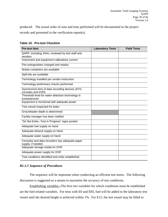produced. The actual order of runs and tests performed will be documented in the project records and presented in the verification report(s).

| <b>Pre-test Item</b>                                                 | <b>Laboratory Tests</b> | <b>Field Tests</b> |
|----------------------------------------------------------------------|-------------------------|--------------------|
| QAPP, including JHAs, reviewed by test staff and<br>vendors          |                         |                    |
| Instrument and equipment calibrations current                        |                         |                    |
| Fire extinguishers charged and nearby                                |                         |                    |
| Waste containers are available                                       |                         |                    |
| Spill kits are available                                             |                         |                    |
| Technology installed per vendor instruction                          |                         |                    |
| Technology preliminary checks performed                              |                         |                    |
| Synchronize time of data recording devices (ATG<br>consoles and DVR) |                         |                    |
| Threshold level for water detection technology is<br>known/proven    |                         |                    |
| Equipment is functional with adequate power                          |                         |                    |
| Test vessel inspected for leaks                                      |                         |                    |
| Groundwater depth is determined                                      |                         |                    |
| Facility manager has been notified                                   |                         |                    |
| "Do Not Enter--Test in Progress" signs posted                        |                         |                    |
| Adequate fuel supply on hand                                         |                         |                    |
| Adequate ethanol supply on hand                                      |                         |                    |
| Adequate water supply on hand                                        |                         |                    |
| Consoles and data recorders has adequate paper<br>supply, if needed  |                         |                    |
| Adequate storage media for DVR                                       |                         |                    |
| Adequate power supply for DVR                                        |                         |                    |
| Test conditions identified and order established                     |                         |                    |

#### <span id="page-38-0"></span>**Table 10. Pre-test Checklist**

## *B1.1.3 Sequence of Procedures*

The sequence will be important when conducting an efficient test series. The following discussion is suggested as a means to maximize the accuracy of test conditions.

Establishing variables--The first two variables for which conditions must be established are the fuel-related variables. For tests with E0 and E85, fuel will be added to the laboratory test vessel until the desired height is achieved within 1%. For E15, the test vessel may be filled to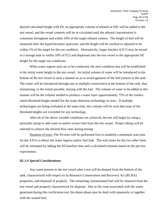desired calculated height with E0, an appropriate volume of ethanol or E85 will be added to the test vessel, and the vessel contents will be re-circulated until the ethanol concentration is consistent throughout and within 10% of the target ethanol content. The height of fuel will be measured after the liquid becomes quiescent, and the height will be verified or adjusted to be within 1% of the target for the run condition. Alternatively, larger batches of E15 may be mixed in a storage tank to within 10% of E15 and dispensed into the test vessel to the appropriate fill height for the target run conditions.

When water ingress tests are to be conducted, the next condition that will be established is the initial water height in the test vessel. An initial volume of water will be introduced to the bottom of the test vessel in such a manner so as to avoid agitation of the fuel present in the tank. The water will be introduced through one or multiple connector(s) at the bottom of the tank, thus minimizing, to the extent possible, mixing with the fuel. The volume of water to be added in this manner will be the volume needed to produce a water layer approximately 75% of the vendorstated threshold height needed for the water detection technology to react. If multiple technologies are being evaluated at the same time, this volume will be such that none of the threshold heights are exceeded for any technology.

After all of the above variable conditions are achieved, the test will begin by using a peristaltic pump to add water to and/or extract fuel from the test vessel. Proper tubing will be selected to achieve the desired flow rates during testing.

Duration of tests--The E0 tests will be performed first to establish a minimum wait time for the ATGs to detect the water ingress and/or fuel leak. The wait times for the two other fuels will be estimated by adding the E0 baseline time and a calculated estimate based on the pre-test experiments.

#### *B1.1.4 Special Considerations*

Any water present in the test vessel after a test will be drained from the bottom of the tank, characterized with respect to its Resource Conservation and Recovery Act (RCRA) properties, and disposed of properly. The remaining contaminated fuel will be removed from the test vessel and properly characterized for disposal. Due to the costs associated with the waste generated during this verification test, the dense phase may be dealt with separately or together with the wasted fuel.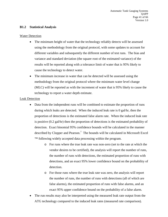#### **B1.2 Statistical Analysis**

#### Water Detection

- The minimum height of water that the technology reliably detects will be assessed using the methodology from the original protocol, with some updates to account for different variables and subsequently the different number of test runs. The bias and variance and standard deviation (the square root of the estimated variance) of the results will be reported along with a tolerance limit of water that is 95% likely to cause the technology to detect water.
- The minimum increase in water that can be detected will be assessed using the methodology from the original protocol where the minimum water level change (MLC) will be reported as with the increment of water that is 95% likely to cause the technology to report a water depth estimate.

#### Leak Detection

- Data from the independent runs will be combined to estimate the proportion of runs during which leaks are detected. When the induced leak rate is 0 gal/hr, then the proportion of detections is the estimated false alarm rate. When the induced leak rate is positive (0.2 gal/hr) then the proportion of detections is the estimated probability of detection. Exact binomial 95% confidence bounds will be calculated in the manner described by Clopper and Pearson.<sup>7</sup> The bounds will be calculated in Microsoft Excel ™ following widely accepted data processing within the program.
	- o For runs where the true leak rate was non-zero (set to the rate at which the vendor desires to be certified), the analysis will report the number of runs, the number of runs with detections, the estimated proportion of runs with detections, and an exact 95% lower confidence bound on the probability of detection.
	- o For those runs where the true leak rate was zero, the analysis will report the number of runs, the number of runs with detections (all of which are false alarms), the estimated proportion of runs with false alarms, and an exact 95% upper confidence bound on the probability of a false alarm.
- The run results may also be interpreted using the measured leak rate output from the ATG technology compared to the induced leak rates (measured rate comparison).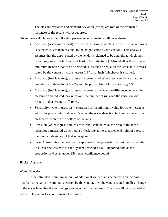The bias and variance and standard deviation (the square root of the estimated variance) of the results will be reported.

Given these calculations, the following performance parameters will be evaluated.

- Accuracy (water ingress test), expressed in terms of whether the depth at which water is detected is less than or equal to the height stated by the vendor. (This analysis assumes that the depth stated by the vendor is claimed to be a height at which their technology would detect water at least 95% of the time.) Also whether the estimated minimum increase that can be detected is less than or equal to the detectable increase stated by the vendor or to the nearest  $1/8^{th}$  of an inch (whichever is smaller).
- Accuracy (fuel leak test), expressed in terms of whether there is evidence that the probability of detection is  $\geq$  95% and the probability of false alarm is  $\leq$  5%.
- Accuracy (fuel leak test), expressed in terms of the average difference between the measured and induced leak rates over the number of runs and the variation with respect to that average difference.
- Sensitivity (water ingress test), expressed as the minimum value for water height at which the probability is at least 95% that the water detection technology detects the presence of water in the bottom of the tank.
- Precision (water ingress and leak rate tests), calculated as the ratio of the mean technology-measured water height or leak rate at the specified end point of a test to the standard deviation of that same quantity.
- False Alarm Rate (fuel leak test), expressed as the proportion of test trials when the true leak rate was zero but the system detected a leak. Reported both as the proportion and as an upper 95% exact confidence bound.

#### *B1.2.1 Accuracy*

#### Water Detection

If the estimated minimum amount of additional water that is detected in an increase is less than or equal to the amount specified by the vendor, then the vendor-stated smallest change in the water level that the technology can detect will be reported. The bias will be calculated as below in Equation 1 as an estimate of accuracy.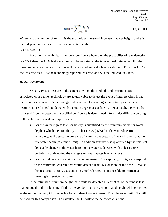$$
\text{Bias} = \sum_{i=1}^{n_{\tilde{t}}} \frac{L_i - S_i}{n}
$$
 Equation 1.

Where n is the number of runs, L is the technology measured increase in water height, and S is the independently measured increase in water height.

#### Leak Detection

For binomial analysis, if the lower confidence bound on the probability of leak detection is ≥ 95% then the ATG leak detection will be reported at the induced leak rate value. For the measured rate comparison, the bias will be reported and calculated as above in Equation 1. For the leak rate bias, L is the technology reported leak rate, and S is the induced leak rate.

#### *B1.2.2 Sensitivity*

Sensitivity is a measure of the extent to which the methods and instrumentation associated with a given technology are actually able to detect the event of interest when in fact the event has occurred. A technology is determined to have higher sensitivity as the event becomes more difficult to detect with a certain degree of confidence. As a result, the event that is most difficult to detect with specified confidence is determined. Sensitivity differs according to the nature of the test and type of event.

- For the water ingress test, sensitivity is quantified by the minimum value for water depth at which the probability is at least 0.95 (95%) that the water detection technology will detect the presence of water in the bottom of the tank given that the true water depth (tolerance limit). In addition sensitivity is quantified by the smallest detectable change in the water height once water is detected with at least a 95% probability of detecting the change (minimum water level change).
- For the fuel leak test, sensitivity is not estimated. Conceptually, it might correspond to the minimum leak rate that would detect a leak 95% or more of the time. Because this test protocol only uses one non-zero leak rate, it is impossible to estimate a meaningful sensitivity figure.

If the estimated minimum height that would be detected at least 95% of the time is less than or equal to the height specified by the vendor, then the vendor-stated height will be reported as the minimum height for the technology to detect water ingress. The tolerance limit (TL) will be used for this comparison. To calculate the TL follow the below calculations.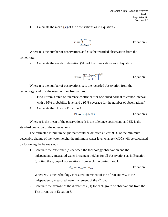1. Calculate the mean  $\left(\overline{x}\right)$  of the observations as in Equation 2.

$$
\bar{x} = \sum_{i=1}^{n} \frac{x_i}{n}
$$
 Equation 2.

Where n is the number of observations and x is the recorded observation from the technology.

2. Calculate the standard deviation (SD) of the observations as in Equation 3.

$$
SD = \left[\frac{\sum_{i=1}^{n} (x_i - \bar{x})^2}{n-1}\right]^{1/2}
$$
 Equation 3.

Where n is the number of observations, x is the recorded observation from the technology, and µ is the mean of the observations.

- 3. Find k from a table of tolerance coefficient for one-sided normal tolerance interval with a 95% probability level and a 95% coverage for the number of observations.<sup>8</sup>
- 4. Calculate the TL as in Equation 4.

$$
TL = \bar{x} + k SD
$$
 Equation 4.

Where  $\mu$  is the mean of the observations, k is the tolerance coefficient, and SD is the standard deviation of the observations.

The estimated minimum height that would be detected at least 95% of the minimum detectable change of the water height, the minimum water level change (MLC) will be calculated by following the below steps.

1. Calculate the difference (d) between the technology observation and the independently-measured water increment heights for all observations as in Equation 5, noting the group of observations from each run during Test 1.

$$
d_{ir} = w_{tr} - w_{mr}
$$
    Equation 5.

Where  $w_{tr}$  is the technology measured increment of the  $r<sup>th</sup>$  run and  $w_{mr}$  is the independently measured water increment of the  $r<sup>th</sup>$  run.

2. Calculate the average of the differences (D) for each group of observations from the Test 1 runs as in Equation 6.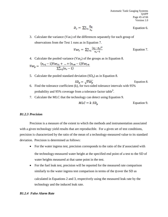$$
D_r = \sum_{i=1}^n \frac{p_{ir}}{n_r}
$$
 Equation 6.

3. Calculate the variance (Var<sub>r</sub>) of the differences separately for each group of observations from the Test 1 runs as in Equation 7.

$$
Var_r = \sum_{i=1}^n \frac{(d_i - D_r)^2}{n_r - 1}
$$
 Equation 7.

4. Calculate the pooled variance  $(Var_p)$  of the groups as in Equation 8.

$$
Var_p = \frac{(n_{r1} - 1)Var_{r1} + ... + (n_{r\#} - 1)Var_{r\#}}{\sum_{r=1}^{\#}(n_r - 1)}
$$

5. Calculate the pooled standard deviation  $(SD<sub>n</sub>)$  as in Equation 8.

$$
SD_p = \sqrt{Var_p}
$$
 Equation 8.

- 6. Find the tolerance coefficient (k), for two-sided tolerance intervals with 95% probability and 95% coverage from a tolerance factor table $^9$ .
- 7. Calculate the MLC that the technology can detect using Equation 9.

$$
MLC = k SDp \t\t Equation 9.
$$

#### *B1.2.3 Precision*

Precision is a measure of the extent to which the methods and instrumentation associated with a given technology yield results that are reproducible. For a given set of test conditions, precision is characterized by the ratio of the mean of a technology-measured value to its standard deviation. Precision is determined as follows:

- For the water ingress test, precision corresponds to the ratio of the  $\bar{x}$  associated with the technology-measured water height at the specified end point of a test to the SD of water heights measured at that same point in the test.
- For the fuel leak test, precision will be reported for the measured rate comparison similarly to the water ingress test comparison in terms of the  $\bar{x}$  over the SD as calculated in Equations 2 and 3, respectively using the measured leak rate by the technology and the induced leak rate.

#### *B1.2.4 False Alarm Rate*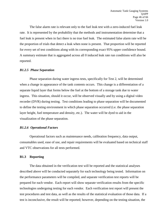The false alarm rate is relevant only to the fuel leak test with a zero-induced fuel leak rate. It is represented by the probability that the methods and instrumentation determine that a fuel leak is present when in fact there is no true fuel leak. The estimated false alarm rate will be the proportion of trials that detect a leak when none is present. That proportion will be reported for every set of test conditions along with its corresponding exact 95% upper confidence bound. A summary estimate that is aggregated across all 0 induced leak rate run conditions will also be reported.

#### *B1.2.5 Phase Separation*

Phase separation during water ingress tests, specifically for Test 2, will be determined when a change in appearance of the tank contents occurs. This change is a differentiation of a separate liquid layer that forms below the fuel at the bottom of a storage tank due to water ingress. This situation, should it occur, will be observed visually and by using a digital video recorder (DVR) during testing. Test conditions leading to phase separation will be documented to define the testing environment in which phase separation occurred (i.e. the phase separation layer height, fuel temperature and density, etc.). The water will be dyed to aid in the visualization of the phase separation.

#### *B1.2.6 Operational Factors*

Operational factors such as maintenance needs, calibration frequency, data output, consumables used, ease of use, and repair requirements will be evaluated based on technical staff and VTC observations for all tests performed.

#### **B1.3 Reporting**

The data obtained in the verification test will be reported and the statistical analyses described above will be conducted separately for each technology being tested. Information on the performance parameters will be compiled, and separate verification test reports will be prepared for each vendor. Each report will show separate verification results from the specific technologies undergoing testing for each vendor. Each verification test report will present the test procedures and test data, as well as the results of the statistical evaluation of those data. If a test is inconclusive, the result will be reported; however, depending on the testing situation, the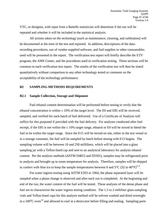VTC, or designee, with input from a Battelle statistician will determine if the run will be repeated and whether it will be included in the statistical analysis.

All actions taken on the technology (such as maintenance, cleaning, and calibration) will be documented at the time of the test and reported. In addition, descriptions of the datarecording procedures, use of vendor-supplied software, and fuel supplies or other consumables used will be presented in the report. The verification test report will briefly describe the ETV program, the AMS Center, and the procedures used in verification testing. These sections will be common to each verification test report. The results of the verification test will then be stated quantitatively without comparison to any other technology tested or comment on the acceptability of the technology performance.

#### <span id="page-46-0"></span>**B2 SAMPLING METHODS REQUIREMENTS**

#### **B2.1 Sample Collection, Storage and Shipment**

Fuel ethanol content determination will be performed before testing to verify that the ethanol concentration is within  $\pm 10\%$  of the target level. The E0 and E85 will be received, sampled, and verified for each batch of fuel delivered. Use of a Certificate of Analysis will suffice for this purposed if provided with the fuel delivery. For analyses conducted after fuel receipt, if the E85 is not within the  $\pm$  10% target range, ethanol or E0 will be mixed to blend the fuel to be within the target range. Since the E15 will be mixed on site, either in the test vessel or in a storage container, the fuel will be sampled by batch before testing with E15 begins. The sampling volume will be between 10 and 250 milliliters, which will be placed into a glass sampling jar with a Teflon-lined cap and sent to an analytical laboratory for analysis ethanol content. Per the analysis methods (ASTM D4815 and D5501), samples may be refrigerated prior to analysis and brought up to room temperature for analysis. Therefore, samples will be shipped in coolers with blue ice to keep the sample temperatures between 0 and  $5^{\circ}$ C (32 to 40 $^{\circ}$ F)<sup>5, 6</sup>.

For water ingress testing using ASTM E203 or 1064, the phase separated layer will be sampled when a phase change is observed and after each run is completed. At the beginning and end of the run, the water content of the fuel will be tested. These analyses of the dense phase and fuel are to characterize the water ingress testing condition. The 1.5 to 2 milliliter glass sampling vials and Teflon-lined caps for this analysis method will be solvent washed and dried overnight in a 100 $^{\circ}$ C oven<sup>10</sup> and allowed to cool in a desiccator before filling and sealing. Sampling ports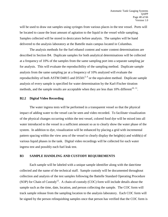will be used to draw out samples using syringes from various places in the test vessel. Ports will be located to cause the least amount of agitation to the liquid in the vessel while sampling. Samples collected will be stored in desiccators before analysis. The samples will be hand delivered to the analysis laboratory at the Battelle main campus located in Columbus.

The analysis methods for the fuel ethanol content and water content determinations are described in Section B4. Duplicate samples for both analytical determinations will be collected at a frequency of 10% of the samples from the same sampling port into a separate sampling jar for analysis. This will evaluate the reproducibility of the sampling method. Duplicate sample analysis from the same sampling jar at a frequency of 10% analyzed will evaluate the reproducibility of both ASTM D4815 and D5501<sup>5, 6</sup> or the equivalent method. Duplicate sample analysis of every sample is specified for water determination by the Karl-Fischer titration methods, and the sample results are acceptable when they are less than  $10\%$  different<sup>10, 11</sup>.

#### **B2.2 Digital Video Recording**

The water ingress tests will be performed in a transparent vessel so that the physical impact of adding water to the vessel can be seen and video recorded. To facilitate visualization of the physical changes occurring within the test vessel, colored food dye will be mixed into all water introduced to the vessel in a sufficient amount so as to clearly show the water phase of the system. In addition to dye, visualization will be enhanced by placing a grid with incremental pattern spacing within the view area of the vessel to clearly display the height(s) and width(s) of various liquid phases in the tank. Digital video recordings will be collected for each water ingress test and possibly each fuel leak test.

#### <span id="page-47-0"></span>**B3 SAMPLE HANDLING AND CUSTODY REQUIREMENTS**

Each sample will be labeled with a unique sample identifier along with the date/time collected and the name of the technical staff. Sample custody will be documented throughout collection and analysis of the test samples following the Battelle Standard Operating Procedure (SOP) for Chain of Custody<sup>12</sup>. A chain-of-custody (COC) form will include details about the sample such as the time, date, location, and person collecting the sample. The COC form will track sample release from the sampling location to the analysis laboratory. Each COC form will be signed by the person relinquishing samples once that person has verified that the COC form is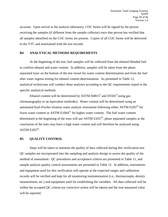accurate. Upon arrival at the analysis laboratory, COC forms will be signed by the person receiving the samples (if different from the sample collector) once that person has verified that all samples identified on the COC forms are present. Copies of all COC forms will be delivered to the VTC and maintained with the test records.

#### <span id="page-48-0"></span>**B4 ANALYTICAL METHODS REQUIREMENTS**

At the beginning of the test, fuel samples will be collected from the ethanol-blended fuel to confirm ethanol and water content. In addition, samples will be taken from the phase separated layer on the bottom of the test vessel for water content determination and from the fuel after water ingress testing for ethanol content determination. As presented in Table 12, analytical technicians will conduct these analyses according to the QC requirements stated in the specific analytical methods.

Ethanol content will be determined by ASTM D4815<sup>5</sup> and D5501<sup>6</sup> using gas chromatography or an equivalent method(s). Water content will be determined using an automated Karl-Fischer titration water analysis instrument following either ASTM E203<sup>10</sup> for lower water content or ASTM  $E1064<sup>11</sup>$  for higher water content. The fuel water content determined at the beginning of the tests will use ASTM  $E203<sup>10</sup>$ ; phase separated samples at the conclusion of the tests may have a high water content and will therefore be analyzed using ASTM  $E203^{10}$ .

#### <span id="page-48-1"></span>**B5 QUALITY CONTROL**

<span id="page-48-2"></span>Steps will be taken to maintain the quality of data collected during this verification test. QC samples are incorporated into the sampling and analysis design to assess the quality of the method of assessment. QC procedures and acceptance criteria are presented in Table 11, and sample analysis quality control assessments are presented in Table 12. In addition, instruments and equipment used for this verification will operate at the expected ranges and calibration records will be verified and kept for all monitoring instrumentation (i.e., thermocouple, density measurement, etc.) and equipment used for establishing the variables. All data collected will be within the accepted QC criteria (or corrective action will be taken) and the true measured value will be reported.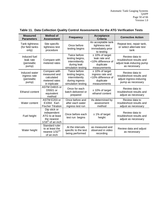| <b>Method of</b><br><b>Measured</b><br><b>Parameters</b><br><b>Assessment</b> |                                                                                      | <b>Frequency</b>                                                                          | <b>Acceptance</b><br>Criteria                                                             | <b>Corrective Action</b>                                                                   |
|-------------------------------------------------------------------------------|--------------------------------------------------------------------------------------|-------------------------------------------------------------------------------------------|-------------------------------------------------------------------------------------------|--------------------------------------------------------------------------------------------|
| Tank tightness<br>(for field tanks)<br>only)                                  | Site specific<br>tightness test<br>procedure                                         | Once before<br>testing begins                                                             | An acceptable tank<br>tightness test<br>immediately prior<br>to testing                   | Repeat test, repair tank,<br>or select alternate test<br>tank                              |
| Induced fuel<br>leak rate<br>(peristaltic<br>pump)                            | Compare with<br>metered rates                                                        | Twice before<br>testing begins,<br>intermittently<br>during leak<br>simulation testing    | $± 10\%$ of target<br>leak rate and<br><10% difference of<br>duplicate<br>measurements    | Review data to<br>troubleshoot results and<br>adjust leak-inducing pump<br>as necessary    |
| Induced water<br>ingress rate<br>(peristaltic<br>pump)                        | Compare with<br>measured and<br>calculated<br>metered rates<br>in triplicate         | Twice before<br>testing begins,<br>intermittently<br>during ingress<br>simulation testing | $± 10\%$ of target<br>ingress rate and<br><10% difference of<br>duplicate<br>measurements | Review data to<br>troubleshoot results and<br>adjust ingress-inducing<br>pump as necessary |
| Ethanol content                                                               | ASTM D4815 or<br>D5501 or<br>equivalent<br>method                                    | Once for each<br>batch delivered or<br>prepared                                           | $±$ 10% of target<br>ethanol content                                                      | Review data to<br>troubleshoot results and<br>adjust as necessary                          |
| Water content                                                                 | ASTM E203 or<br>E1064: Karl-<br><b>Fischer Titration</b>                             | Once before and<br>after each water<br>ingress test run                                   | As determined by<br>assessment<br>method                                                  | Review data to<br>troubleshoot results and<br>adjust as necessary                          |
| Fuel height                                                                   | Dip stick or<br>independent<br>ATG to at least<br>the nearest<br>$1/16th$ of an inch | Once before each<br>test run begins                                                       | $± 1\%$ of target<br>height                                                               | Review data to<br>troubleshoot results and<br>adjust as necessary                          |
| Water height                                                                  | Standard ruler<br>to at least the<br>nearest 1/32nd<br>of an inch                    | At the intervals<br>specific to the test<br>being performed                               | as measured and<br>observed in video<br>recording                                         | Review data and adjust<br>as necessary                                                     |

#### **Table 11. Data Collection Quality Control Assessments for the ATG Verification Tests**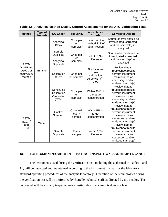| <b>Method</b>                                                | Type of<br><b>Analysis</b> | QC Check                                       | <b>Frequency</b>                                   | <b>Acceptance</b><br><b>Criteria</b>                                  | <b>Corrective Action</b>                                                                                                   |
|--------------------------------------------------------------|----------------------------|------------------------------------------------|----------------------------------------------------|-----------------------------------------------------------------------|----------------------------------------------------------------------------------------------------------------------------|
| <b>ASTM</b><br>D4815 and<br>D5501 or<br>equivalent<br>method |                            | Analytical<br><b>Blank</b>                     | Once per<br>ten<br>samples                         | Less than the<br>method limit of<br>quantification                    | Source of error should be<br>investigated, corrected,<br>and the sample(s) re-<br>analyzed                                 |
|                                                              |                            | Sample<br>Duplicate<br>Analytical<br>Duplicate | Once per<br>ten<br>samples                         | Within 10%<br>difference                                              | Source of error should be<br>investigated, corrected,<br>and the sample(s) re-<br>analyzed                                 |
|                                                              | Ethanol                    | Calibration<br>Curve                           | Once per<br>30 samples                             | At least a five<br>point<br>calibration<br>curve with $r^2$ ><br>0.99 | Review data to<br>troubleshoot results<br>perform instrument<br>maintenance as<br>necessary, and re-<br>analyzed sample(s) |
|                                                              |                            |                                                | Continuing<br>Calibration<br>Verification<br>(CCV) | Once per<br>ten<br>samples                                            | Within 20% of<br>the target<br>concentration                                                                               |
| <b>ASTM</b><br>$E203^{10}$<br>and<br>$E1064^{11}$            | Water                      | Control<br>Standard                            | Once with<br>every<br>sample                       | Within 5% of<br>target<br>concentration                               | Review data to<br>troubleshoot results<br>perform instrument<br>maintenance as<br>necessary, and re-<br>analyzed sample(s) |
|                                                              |                            | Sample<br>Duplicate                            | Every<br>sample                                    | Within 10%<br>difference                                              | Review data to<br>troubleshoot results<br>perform instrument<br>maintenance as<br>necessary, and re-<br>analyzed sample(s) |

#### <span id="page-50-1"></span>**Table 12. Analytical Method Quality Control Assessments for the ATG Verification Tests**

#### <span id="page-50-0"></span>**B6 INSTRUMENT/EQUIPMENT TESTING, INSPECTION, AND MAINTENANCE**

The instruments used during the verification test, including those defined in Tables 9 and 11, will be inspected and maintained according to the instrument manuals or the laboratory standard operating procedures of the analysis laboratory. Operation of the technologies during the verification test will be performed by Battelle technical staff as directed by the vendor. The test vessel will be visually inspected every testing day to ensure it is does not leak.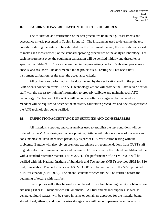#### <span id="page-51-0"></span>**B7 CALIBRATION/VERIFICATION OF TEST PROCEDURES**

The calibration and verification of the test procedures lie in the QC assessments and acceptance criteria presented in Tables 11 and 12. The instruments used to determine the test conditions during the tests will be calibrated per the instrument manual, the methods being used to make each measurement, or the standard operating procedures of the analysis laboratory. For each measurement type, the equipment calibration will be verified initially and thereafter as specified in Tables 9 or 11, or as determined in the pre-testing checks. Calibration procedures, checks, and results will be documented in the project files. Testing will not occur until instrument calibration results meet the acceptance criteria.

All calibrations performed will be documented by the verification staff in the project LRB or data collection forms. The ATG technology vendor will provide the Battelle verification staff with the necessary training/information to properly calibrate and maintain each ATG technology. Calibration of the ATGs will be done as often as suggested by the vendors. Vendors will be required to describe the necessary calibration procedures and devices specific to the ATG technologies being verified.

#### <span id="page-51-1"></span>**B8 INSPECTION/ACCEPTANCE OF SUPPLIES AND CONSUMABLES**

All materials, supplies, and consumables used to establish the test conditions will be ordered by the VTC or designee. Where possible, Battelle will rely on sources of materials and consumables that have been used previously as part of ETV verification testing without problems. Battelle will also rely on previous experience or recommendations from OUST staff to guide selection of manufacturers and materials. E10 is currently the only ethanol-blended fuel with a standard reference material (SRM 2297). The performance of ASTM D4815 will be verified with this National Institute of Standards and Technology (NIST) provided SRM for E10 fuel, if available. The performance of ASTM D5501 will be verified with the NIST provided SRM for ethanol (SRM 2900). The ethanol content for each fuel will be verified before the beginning of testing with that fuel.

Fuel supplies will either be used as purchased from a fuel blending facility or blended on site using E0 or E10 blended with E85 or ethanol. All fuel and ethanol supplies, as well as generated liquid wastes, will be stored in tanks or containers approved for the material being stored. Fuel, ethanol, and liquid wastes storage areas will be on impermeable surfaces with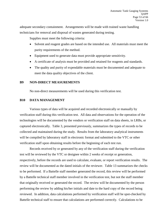adequate secondary containment. Arrangements will be made with trained waste handling technicians for removal and disposal of wastes generated during testing.

Supplies must meet the following criteria:

- Solvent and reagent grades are based on the intended use. All materials must meet the purity requirements of the method.
- Equipment used to generate data must provide appropriate sensitivity.
- A certificate of analysis must be provided and retained for reagents and standards.
- The quality and purity of expendable materials must be documented and adequate to meet the data quality objectives of the client.

#### <span id="page-52-0"></span>**B9 NON-DIRECT MEASUREMENTS**

No non-direct measurements will be used during this verification test.

#### <span id="page-52-1"></span>**B10 DATA MANAGEMENT**

Various types of data will be acquired and recorded electronically or manually by verification staff during this verification test. All data and observations for the operation of the technologies will be documented by the vendors or verification staff on data sheets, in LRBs, or captured electronically. Table 3, presented previously, summarizes the types of records to be collected and maintained during the study. Results from the laboratory analytical instruments will be compiled by laboratory staff in electronic format and submitted to the VTC or other verification staff upon obtaining results before the beginning of each test run.

Records received by or generated by any of the verification staff during the verification test will be reviewed by the VTC or designee within 2 weeks of receipt or generation, respectively, before the records are used to calculate, evaluate, or report verification results. The review will be documented as the dated initials of the reviewer. Table 13 summarizes the checks to be performed. If a Battelle staff member generated the record, this review will be performed by a Battelle technical staff member involved in the verification test, but not the staff member that originally received or generated the record. The review will be documented by the person performing the review by adding his/her initials and date to the hard copy of the record being reviewed. In addition, data calculations performed by verification staff will be spot-checked by Battelle technical staff to ensure that calculations are performed correctly. Calculations to be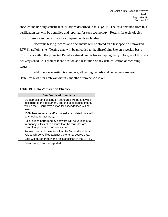checked include any statistical calculations described in this QAPP. The data obtained from this verification test will be compiled and reported for each technology. Results for technologies from different vendors will not be compared with each other.

All electronic testing records and documents will be stored on a test-specific networked ETV SharePoint site. Testing data will be uploaded to the SharePoint Site on a weekly basis. This site is within the protected Battelle network and is backed up regularly. The goal of this data delivery schedule is prompt identification and resolution of any data collection or recording issues.

In addition, once testing is complete, all testing records and documents are sent to Battelle's RMO for archival within 2 months of project close-out.

| Pala Termoglion Uncerto                                                                                                                                                              |  |  |  |  |  |  |
|--------------------------------------------------------------------------------------------------------------------------------------------------------------------------------------|--|--|--|--|--|--|
| <b>Data Verification Activity</b>                                                                                                                                                    |  |  |  |  |  |  |
| QC samples and calibration standards will be analyzed<br>according to this document, and the acceptance criteria<br>will be met. Corrective action for exceedances will be<br>taken. |  |  |  |  |  |  |
| 100% hand-entered and/or manually calculated data will<br>be checked for accuracy.                                                                                                   |  |  |  |  |  |  |
| Calculations performed by software will be verified at a<br>frequency sufficient to ensure that the formulas are<br>correct, appropriate, and consistent.                            |  |  |  |  |  |  |
| For each cut and paste function, the first and last data<br>values will be verified against the original source data.                                                                |  |  |  |  |  |  |
| Data will be reported in the units specified in the QAPP.                                                                                                                            |  |  |  |  |  |  |
| Results of QC will be reported.                                                                                                                                                      |  |  |  |  |  |  |
|                                                                                                                                                                                      |  |  |  |  |  |  |

#### <span id="page-53-0"></span>**Table 13. Data Verification Checks**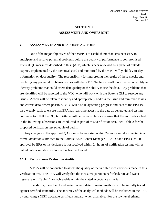## **SECTION C ASSESSMENT AND OVERSIGHT**

#### <span id="page-54-1"></span><span id="page-54-0"></span>**C1 ASSESSMENTS AND RESPONSE ACTIONS**

One of the major objectives of the QAPP is to establish mechanisms necessary to anticipate and resolve potential problems before the quality of performance is compromised. Internal QC measures described in this QAPP, which is peer reviewed by a panel of outside experts, implemented by the technical staff, and monitored by the VTC, will yield day-to-day information on data quality. The responsibility for interpreting the results of these checks and resolving any potential problems resides with the VTC. Technical staff have the responsibility to identify problems that could affect data quality or the ability to use the data. Any problems that are identified will be reported to the VTC, who will work with the Battelle QM to resolve any issues. Action will be taken to identify and appropriately address the issue and minimize losses and correct data, where possible. VTC will also relay testing progress and data to the EPA PO on a weekly basis to ensure that EPA has real-time access to the data as generated and testing continues to fulfill the DQOs. Battelle will be responsible for ensuring that the audits described in the following subsections are conducted as part of this verification test. See Table 2 for the proposed verification test schedule of audits.

Any changes to the approved QAPP must be reported within 24 hours and documented in a formal deviation submitted to the Battelle AMS Center Manager, EPA PO and EPA QM. If approval by EPA or his designee is not received within 24 hours of notification testing will be halted until a suitable resolution has been achieved.

#### **C1.1 Performance Evaluation Audits**

A PEA will be conducted to assess the quality of the variable measurements made in this verification test. The PEA will verify that the measured parameters for leak rate and water ingress rate in Table 11 are achievable within the stated acceptance criteria.

In addition, the ethanol and water content determination methods will be initially tested against certified standards. The accuracy of the analytical methods will be evaluated in the PEA by analyzing a NIST traceable certified standard, when available. For the low level ethanol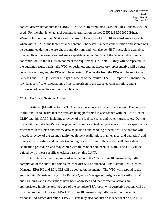content determination method D4815, SRM 2297- Reformulated Gasoline (10% Ethanol) will be used. For the high level ethanol content determination method D5501, SRM 2900-Ethanol-Water Solution, (nominal 95.6%) will be used. The results of this E10 standard are acceptable when within 10% of the target ethanol content. The water standard concentration and source will be determined during the pre-checks and dry runs and will also be NIST traceable if available. The results of the water standard are acceptable when within 5% of the target control standard concentration. If the results do not meet the requirements in Table 11, they will be repeated. If the outlying results persist, the VTC, or designee, and the laboratory representative will discuss corrective actions, and the PEA will be repeated. The results from the PEA will be sent to the EPA PO and EPA QM within 10 days of receipt of the results. The PEA report will include the raw data, certificate, calculations of the comparison to the expected concentration, and a discussion of corrective action, if applicable.

#### **C1.2 Technical Systems Audits**

Battelle QM will perform a TSA at least once during this verification test. The purpose of this audit is to ensure that the tests are being performed in accordance with the AMS Center  $QMP<sup>1</sup>$  and this QAPP, including a review of the fuel leak rates and water ingress rates. During this audit, the Battelle QM, or designee, will compare actual test procedures to those specified or referenced in this plan and review data acquisition and handling procedures. The auditor will include a review of the testing facility, equipment (calibration, maintenance, and operation) and observation of testing and records (including custody forms). He/she also will check data acquisition procedures and may confer with the vendor and technical staff. The TSA will be guided by a project-specific checklist based on this QAPP.

A TSA report will be prepared as a memo to the VTC within 10 business days after completion of the audit; the completed checklist will be attached. The Battelle AMS Center Manager, EPA PO and EPA QM will be copied on the memo. The VTC will respond to the audit within 10 business days. The Battelle Quality Manager or designate will verify that all audit Findings and Observations have been addressed and that corrective actions are appropriately implemented. A copy of the complete TSA report with corrective actions will be provided to the EPA PO and EPA QM within 10 business days after receipt of the audit response. At EPA's discretion, EPA QA staff may also conduct an independent on-site TSA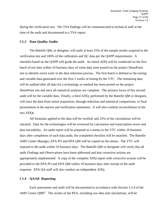during the verification test. The TSA findings will be communicated to technical staff at the time of the audit and documented in a TSA report.

#### **C1.3 Data Quality Audits**

The Battelle QM, or designee, will audit at least 25% of the sample results acquired in the verification test and 100% of the calibration and QC data per the QAPP requirements. A checklist based on the QAPP will guide the audit. An initial ADQ will be conducted on the first batch of test data within 10 business days of when data were posted on the project SharePoint site to identify errors early in the data reduction process. The first batch is defined as the testing and variable data generated over the first 2 weeks of testing by the VTC. The remaining data will be audited after all data for a technology or method has been posted on the project SharePoint site and once all statistical analyses are complete. The primary focus of this second audit will be the variable data. Finally, a third ADQ, performed by the Battelle QM or designee, will trace the data from initial acquisition, through reduction and statistical comparisons, to final presentation in the reports and verification statements. It will also confirm reconciliation of the two ADQs.

All formulae applied to the data will be verified, and 25% of the calculations will be checked. Data for the technologies will be reviewed for calculation and transcription errors and data traceability. An audit report will be prepared as a memo to the VTC within 10 business days after completion of each data audit; the completed checklist will be attached. The Battelle AMS Center Manager, EPA PO and EPA QM will be copied on the memo. The VTC will respond to the audit within 10 business days. The Battelle QM or designate will verify that all audit Findings and Observations have been addressed and that corrective actions are appropriately implemented. A copy of the complete ADQ report with corrective actions will be provided to the EPA PO and EPA QM within 10 business days after receipt of the audit response. EPA QA staff will also conduct an independent ADQ.

#### **C1.4 QA/QC Reporting**

Each assessment and audit will be documented in accordance with Section 3.3.4 of the AMS Center QMP<sup>1</sup>. The results of the PEA, including raw data and calculations, will be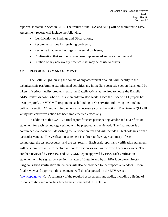reported as stated in Section C1.1. The results of the TSA and ADQ will be submitted to EPA. Assessment reports will include the following:

- Identification of Findings and Observations;
- Recommendations for resolving problems;
- Response to adverse findings or potential problems;
- Confirmation that solutions have been implemented and are effective; and
- Citation of any noteworthy practices that may be of use to others.

#### <span id="page-57-0"></span>**C2 REPORTS TO MANAGEMENT**

The Battelle QM, during the course of any assessment or audit, will identify to the technical staff performing experimental activities any immediate corrective action that should be taken. If serious quality problems exist, the Battelle QM is authorized to notify the Battelle AMS Center Manager who will issue an order to stop work. Once the TSA or ADQ report has been prepared, the VTC will respond to each Finding or Observation following the timeline defined in section C1 and will implement any necessary corrective action. The Battelle QM will verify that corrective action has been implemented effectively.

In addition to this QAPP, a final report for each participating vendor and a verification statement for each technology verified will be prepared and reviewed. The final report is a comprehensive document describing the verification test and will include all technologies from a particular vendor. The verification statement is a three-to-five page summary of each technology, the test procedures, and the test results. Each draft report and verification statement will be submitted to the respective vendor for review as well as the expert peer reviewers. They are then reviewed by EPA PO and EPA QM. Upon approval by EPA, each verification statement will be signed by a senior manager of Battelle and by an EPA laboratory director. Original signed verification statements will also be provided to the respective vendors. Upon final review and approval, the documents will then be posted on the ETV website [\(www.epa.gov/etv\)](file:///C:\Local%20Settings\Saved%20Attachments\Documents%20and%20Settings\DINDALA\Local%20Settings\Local%20Settings\Temporary%20Internet%20Files\Documents%20and%20Settings\Carvittij\Documents%20and%20Settings\Carvittij\Local%20Settings\Local%20Settings\Saved%20Attachments\Documents%20and%20Settings\Documents%20and%20Settings\Carvittij\Local%20Settings\Temporary%20Internet%20Files\Content.Outlook\Local%20Settings\Temp\Telework%20Take%20Home%20Folder%202010\Telework%20Take%20Home%20Folder%202010\Carvittij\Local%20Settings\Saved%20Attachments\Local%20Settings\Local%20Settings\Local%20Settings\Saved%20Attachments\Local%20Settings\Temporary%20Internet%20Files\OLK5\TQAP_mycrocystins%206-11-09.doc). A summary of the required assessments and audits, including a listing of responsibilities and reporting timeframes, is included in Table 14.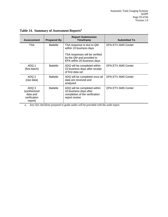| <b>Assessment</b>                                            | <b>Prepared By</b> | <b>Report Submission</b><br><b>Timeframe</b>                                                              | <b>Submitted To</b>       |
|--------------------------------------------------------------|--------------------|-----------------------------------------------------------------------------------------------------------|---------------------------|
| TSA                                                          | <b>Battelle</b>    | TSA response is due to QM<br>within 10 business days                                                      | <b>EPA ETV AMS Center</b> |
|                                                              |                    | TSA responses will be verified<br>by the QM and provided to<br>EPA within 20 business days                |                           |
| ADQ 1<br>(first batch)                                       | <b>Battelle</b>    | ADQ will be completed within<br>10 business days after receipt<br>of first data set                       | <b>EPA ETV AMS Center</b> |
| ADQ 2<br>(raw data)                                          | <b>Battelle</b>    | ADQ will be completed once all<br>data are received and<br>analyzed                                       | <b>EPA ETV AMS Center</b> |
| ADQ 3<br>(synthesized<br>data and<br>verification<br>report) | <b>Battelle</b>    | ADQ will be completed within<br>10 business days after<br>completion of the verification<br>report review | <b>EPA ETV AMS Center</b> |

<span id="page-58-0"></span>**Table 14. Summary of Assessment Reports<sup>a</sup>**

a. Any QA checklists prepared to guide audits will be provided with the audit report.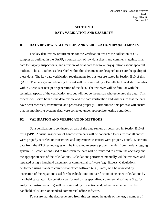## **SECTION D DATA VALIDATION AND USABILITY**

#### <span id="page-59-1"></span><span id="page-59-0"></span>**D1 DATA REVIEW, VALIDATION, AND VERIFICATION REQUIREMENTS**

The key data review requirements for the verification test are the collection of QC samples as outlined in the QAPP, a comparison of raw data sheets and comments against final data to flag any suspect data, and a review of final data to resolve any questions about apparent outliers. The QA audits, as described within this document are designed to assure the quality of these data. The key data verification requirements for this test are stated in Section B10 of this QAPP. The data generated during this test will be reviewed by a Battelle technical staff member within 2 weeks of receipt or generation of the data. The reviewer will be familiar with the technical aspects of the verification test but will not be the person who generated the data. This process will serve both as the data review and the data verification and will ensure that the data have been recorded, transmitted, and processed properly. Furthermore, this process will ensure that the monitoring systems data were collected under appropriate testing conditions.

#### <span id="page-59-2"></span>**D2 VALIDATION AND VERIFICATION METHODS**

Data verification is conducted as part of the data review as described in Section B10 of this QAPP. A visual inspection of handwritten data will be conducted to ensure that all entries were properly recorded or transcribed and any erroneous entries were properly noted. Electronic data from the ATG technologies will be inspected to ensure proper transfer from the data logging system. All calculations used to transform the data will be reviewed to ensure the accuracy and the appropriateness of the calculations. Calculations performed manually will be reviewed and repeated using a handheld calculator or commercial software (e.g., Excel). Calculations performed using standard commercial office software (e.g., Excel) will be reviewed by inspection of the equations used for the calculations and verification of selected calculations by handheld calculator. Calculations performed using specialized commercial software (i.e., for analytical instrumentation) will be reviewed by inspection and, when feasible, verified by handheld calculator, or standard commercial office software.

To ensure that the data generated from this test meet the goals of the test, a number of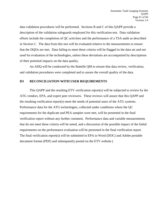data validation procedures will be performed. Sections B and C of this QAPP provide a description of the validation safeguards employed for this verification test. Data validation efforts include the completion of QC activities and the performance of a TSA audit as described in Section C. The data from this test will be evaluated relative to the measurements to ensure that the DQOs are met. Data failing to meet these criteria will be flagged in the data set and not used for evaluation of the technologies, unless these deviations are accompanied by descriptions of their potential impacts on the data quality.

An ADQ will be conducted by the Battelle QM to ensure that data review, verification, and validation procedures were completed and to assure the overall quality of the data.

#### <span id="page-60-0"></span>**D3 RECONCILIATION WITH USER REQUIREMENTS**

This QAPP and the resulting ETV verification report(s) will be subjected to review by the ATG vendors, EPA, and expert peer reviewers. These reviews will assure that this QAPP and the resulting verification report(s) meet the needs of potential users of the ATG systems. Performance data for the ATG technologies, collected under conditions where the QC requirements for the duplicate and PEA samples were met, will be presented in the final verification report without any further comment. Performance data and variable measurements that do not meet these criteria will be noted, and a discussion of the possible impact of the failed requirements on the performance evaluation will be presented in the final verification report. The final verification report(s) will be submitted to EPA in Word (DOC) and Adobe portable document format (PDF) and subsequently posted on the ETV website [\(](file:///C:\Local%20Settings\Saved%20Attachments\Documents%20and%20Settings\DINDALA\Local%20Settings\Local%20Settings\Temporary%20Internet%20Files\Documents%20and%20Settings\Carvittij\Documents%20and%20Settings\Carvittij\Local%20Settings\Local%20Settings\Saved%20Attachments\Documents%20and%20Settings\Documents%20and%20Settings\Carvittij\Local%20Settings\Temporary%20Internet%20Files\Content.Outlook\Local%20Settings\Temp\Telework%20Take%20Home%20Folder%202010\Telework%20Take%20Home%20Folder%202010\Carvittij\Local%20Settings\Saved%20Attachments\Local%20Settings\Local%20Settings\Local%20Settings\Saved%20Attachments\Local%20Settings\Temporary%20Internet%20Files\OLK5\TQAP_mycrocystins%206-11-09.doc)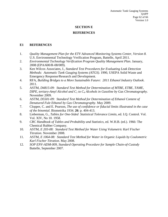## **SECTION E**

#### **REFERENCES**

#### <span id="page-61-1"></span><span id="page-61-0"></span>**E1 REFERENCES**

- 1. *Quality Management Plan for the ETV Advanced Monitoring Systems Center, Version 8.* U.S. Environmental Technology Verification Program, Battelle, April 2011.
- 2. *Environmental Technology Verification Program Quality Management Plan.* January, 2008 (EPA/600/R-08/009).
- 3. Ken Wilcox Associates, I., *Standard Test Procedures for Evaluating Leak Detection Methods: Automatic Tank Gauging Systems (ATGS)*. 1990, USEPA Solid Waste and Emergency Response/Research and Development.
- 4. RFA, *Building Bridges to a More Sustainable Future: 2011 Ethanol Industry Outlook*. 2011.
- 5. ASTM, *D4815-09: Standard Test Method for Determination of MTBE, ETBE, TAME, DIPE, tertiary-Amyl Alcohol and C1 to C4 Alcohols in Gasoline by Gas Chromatography*. November 2009.
- 6. ASTM, *D5501-09: Standard Test Method for Determination of Ethanol Content of Denatured Fule Ethanol by Gas Chromatography*. May 2009.
- 7. Clopper, C. and E. Pearson, *The use of confidence or fiducial limits illustrated in the case of the binomial.* Biometrika 1934. **26**: p. 404-413.
- 8. Lieberman, G., *Tables for One-Sided Statistical Tolerance Limits*, ed. I.Q. Control. Vol. Vol. XIV, No 10. 1958.
- 9. *CRC Handbook of Tables and Probability and Statistics*, ed. W.H.B. (ed.). 1966: The Chemical Rubber Company.
- 10. ASTM, *E 203-08: Standard Test Method for Water Using Volumetric Karl Fischer Titration*. November 2008.
- 11. ASTM, *E 1064-08: Standard Test Method for Water in Organic Liquids by Coulometric Karl Fischer Titration*. May 2008.
- 12. *SOP ENV-ADM-009, Standard Operating Procedure for Sample Chain-of-Custody*  Battelle, September 2007.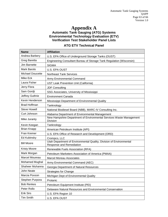# **Appendix A**

#### **Automatic Tank Gauging (ATG) Systems Environmental Technology Evaluation (ETV) Verification Test Stakeholder Panel Lists**

#### **ATG ETV Technical Panel**

| <b>Name</b>             | <b>Affiliation</b>                                                                              |
|-------------------------|-------------------------------------------------------------------------------------------------|
| Andrea Barbery          | U.S. EPA Office of Underground Storage Tanks (OUST)                                             |
| Greg Baretta            | Engineering Consultant Bureau of Storage Tank Regulation (Wisconsin)                            |
| Jim Barnette            | <b>SIGMA</b>                                                                                    |
| Mark Barolo             | <b>U.S. EPA OUST</b>                                                                            |
| <b>Michael Doucette</b> | <b>Northeast Tank Services</b>                                                                  |
| Mike Eck                | Army Environmental Command                                                                      |
| Laura Fisher            | UST Leak Prevention Unit (California)                                                           |
| Jerry Flora             | <b>JDF Consulting</b>                                                                           |
| Sam Gordji              | SSG Associates, University of Mississippi                                                       |
| Jeffrey Guthrie         | <b>Environment Canada</b>                                                                       |
| Kevin Henderson         | Mississippi Department of Environmental Quality                                                 |
| <b>Brad Hoffman</b>     | Tanknology                                                                                      |
| <b>Steve Howell</b>     | National Biodiesel Board (NBB), MARC-IV Consulting Inc.                                         |
| Curt Johnson            | Alabama Department of Environmental Management                                                  |
| Mike Juranty            | New Hampshire Department of Environmental Services Waste Management<br><b>Division</b>          |
| Kevin Keegan            | Tanknology                                                                                      |
| <b>Brian Knapp</b>      | American Petroleum Institute (API)                                                              |
| Fran Kremer             | U.S. EPA Office of Research and Development (ORD)                                               |
| Ed Kubinsky             | Crompco, LLC                                                                                    |
| <b>Bill Moore</b>       | Utah Department of Environmental Quality, Division of Environmental<br>Response and Remediation |
| <b>Kristy Moore</b>     | Renewable Fuels Association (RFA)                                                               |
| Mark Morgan             | Petroleum Marketers Association of America (PMAA)                                               |
| Marcel Moureau          | <b>Marcel Moreau Associates</b>                                                                 |
| <b>Mohamed Mughal</b>   | Army Environmental Command (AEC)                                                                |
| Shaheer Muhanna         | Georgia Department of Natural Resources                                                         |
| <b>John Neate</b>       | <b>Strategies for Change</b>                                                                    |
| Marcia Poxson           | Michigan Dept of Environmental Quality                                                          |
| Stephen Purpora         | Protanic                                                                                        |
| <b>Bob Renkes</b>       | Petroleum Equipment Institute (PEI)                                                             |
| Peter Rollo             | Delaware Natural Resources and Environmental Conservation                                       |
| <b>Erik Sirs</b>        | U.S. EPA Region 10                                                                              |
| <b>Tim Smith</b>        | U.S. EPA OUST                                                                                   |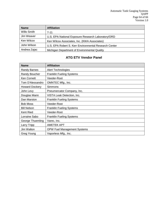| <b>Name</b>  | <b>Affiliation</b>                                    |
|--------------|-------------------------------------------------------|
| Willo Smith  | $7 - 11$                                              |
| Jim Weaver   | U.S. EPA National Exposure Research Laboratory/ORD    |
| Ken Wilcox   | Ken Wilcox Associates, Inc. (KWA Associates)          |
| John Wilson  | U.S. EPA Robert S. Kerr Environmental Research Center |
| Andrea Zajac | Michigan Department of Environmental Quality          |

## **ATG ETV Vendor Panel**

| <b>Name</b>           | <b>Affiliation</b>                 |
|-----------------------|------------------------------------|
| <b>Randy Barnes</b>   | <b>Alert Technologies</b>          |
| Randy Boucher         | <b>Franklin Fueling Systems</b>    |
| Ken Cornett           | Veeder-Root                        |
| Tom D'Alessandro      | OMNTEC Mfg., Inc.                  |
| <b>Howard Dockery</b> | Simmons                            |
| John Levy             | Pneumercator Company, Inc.         |
| Douglas Mann          | VISTA Leak Detection, Inc.         |
| Dan Marston           | <b>Franklin Fueling Systems</b>    |
| <b>Bob Moss</b>       | Veeder-Root                        |
| <b>Bill Nelson</b>    | <b>Franklin Fueling Systems</b>    |
| Kent Ried             | Veeder-Root                        |
| Lorraine Sabo         | <b>Franklin Fueling Systems</b>    |
| George Thuemling      | Varec, Inc.                        |
| Larry Tripp           | <b>AMETEK APT</b>                  |
| Jim Walton            | <b>OPW Fuel Management Systems</b> |
| Greg Young            | Vaporless Mfg., Inc.               |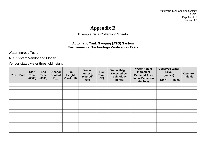Automatic Tank Gauging Systems QAPP Page 65 of 66 Version 1.0

# **Appendix B**

## **Example Data Collection Sheets**

#### **Automatic Tank Gauging (ATG) System Environmental Technology Verification Tests**

Water Ingress Tests

ATG System Vendor and Model: \_\_\_\_\_\_\_\_\_\_\_\_\_\_\_\_\_\_\_\_\_\_\_\_\_\_\_\_\_\_\_\_\_\_\_\_\_\_\_\_\_\_\_\_\_\_\_\_\_\_\_\_\_

Vendor-stated water threshold height\_\_\_\_\_\_\_\_\_\_\_\_\_\_\_\_\_\_\_\_\_\_\_\_

| Run<br><b>Date</b> | <b>Start</b><br><b>Time</b> | <b>End</b><br><b>Time</b> | <b>Ethanol</b><br><b>Content</b> | Fuel<br><b>Height</b> | Water<br><b>Ingress</b><br>Method/ | <b>Water Height</b><br><b>Fuel</b><br>Detected by<br><b>Temp</b><br><b>Technology</b> | <b>Water Height</b><br><b>Increment</b><br><b>Detected After</b> | <b>Observed Water</b><br>Level<br>(inches) |                                      | Operator<br><b>Initials</b> |               |  |
|--------------------|-----------------------------|---------------------------|----------------------------------|-----------------------|------------------------------------|---------------------------------------------------------------------------------------|------------------------------------------------------------------|--------------------------------------------|--------------------------------------|-----------------------------|---------------|--|
|                    |                             | (0000)                    | (0000)                           | $E_{\perp}$           | (% of full)                        | rate                                                                                  | (°F)                                                             | (inches)                                   | <b>Initial Detection</b><br>(inches) | <b>Start</b>                | <b>Finish</b> |  |
|                    |                             |                           |                                  |                       |                                    |                                                                                       |                                                                  |                                            |                                      |                             |               |  |
|                    |                             |                           |                                  |                       |                                    |                                                                                       |                                                                  |                                            |                                      |                             |               |  |
|                    |                             |                           |                                  |                       |                                    |                                                                                       |                                                                  |                                            |                                      |                             |               |  |
|                    |                             |                           |                                  |                       |                                    |                                                                                       |                                                                  |                                            |                                      |                             |               |  |
|                    |                             |                           |                                  |                       |                                    |                                                                                       |                                                                  |                                            |                                      |                             |               |  |
|                    |                             |                           |                                  |                       |                                    |                                                                                       |                                                                  |                                            |                                      |                             |               |  |
|                    |                             |                           |                                  |                       |                                    |                                                                                       |                                                                  |                                            |                                      |                             |               |  |
|                    |                             |                           |                                  |                       |                                    |                                                                                       |                                                                  |                                            |                                      |                             |               |  |
|                    |                             |                           |                                  |                       |                                    |                                                                                       |                                                                  |                                            |                                      |                             |               |  |
|                    |                             |                           |                                  |                       |                                    |                                                                                       |                                                                  |                                            |                                      |                             |               |  |
|                    |                             |                           |                                  |                       |                                    |                                                                                       |                                                                  |                                            |                                      |                             |               |  |
|                    |                             |                           |                                  |                       |                                    |                                                                                       |                                                                  |                                            |                                      |                             |               |  |
|                    |                             |                           |                                  |                       |                                    |                                                                                       |                                                                  |                                            |                                      |                             |               |  |
|                    |                             |                           |                                  |                       |                                    |                                                                                       |                                                                  |                                            |                                      |                             |               |  |
|                    |                             |                           |                                  |                       |                                    |                                                                                       |                                                                  |                                            |                                      |                             |               |  |